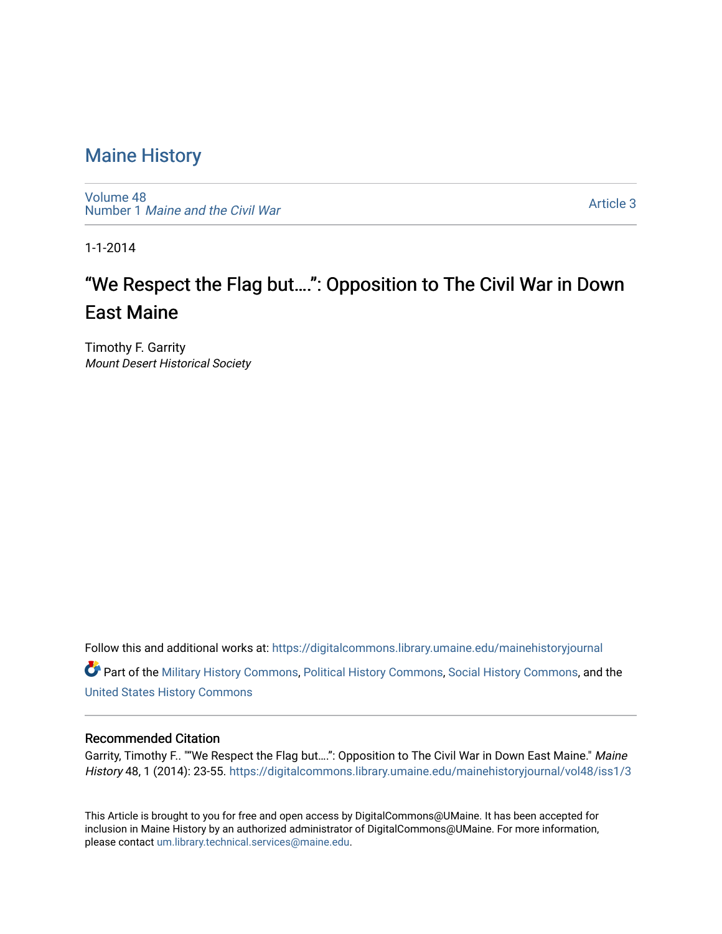[Volume 48](https://digitalcommons.library.umaine.edu/mainehistoryjournal/vol48) Number 1 [Maine and the Civil War](https://digitalcommons.library.umaine.edu/mainehistoryjournal/vol48/iss1)

[Article 3](https://digitalcommons.library.umaine.edu/mainehistoryjournal/vol48/iss1/3) 

1-1-2014

# "We Respect the Flag but….": Opposition to The Civil War in Down East Maine

Timothy F. Garrity Mount Desert Historical Society

Follow this and additional works at: [https://digitalcommons.library.umaine.edu/mainehistoryjournal](https://digitalcommons.library.umaine.edu/mainehistoryjournal?utm_source=digitalcommons.library.umaine.edu%2Fmainehistoryjournal%2Fvol48%2Fiss1%2F3&utm_medium=PDF&utm_campaign=PDFCoverPages) 

Part of the [Military History Commons](http://network.bepress.com/hgg/discipline/504?utm_source=digitalcommons.library.umaine.edu%2Fmainehistoryjournal%2Fvol48%2Fiss1%2F3&utm_medium=PDF&utm_campaign=PDFCoverPages), [Political History Commons,](http://network.bepress.com/hgg/discipline/505?utm_source=digitalcommons.library.umaine.edu%2Fmainehistoryjournal%2Fvol48%2Fiss1%2F3&utm_medium=PDF&utm_campaign=PDFCoverPages) [Social History Commons](http://network.bepress.com/hgg/discipline/506?utm_source=digitalcommons.library.umaine.edu%2Fmainehistoryjournal%2Fvol48%2Fiss1%2F3&utm_medium=PDF&utm_campaign=PDFCoverPages), and the [United States History Commons](http://network.bepress.com/hgg/discipline/495?utm_source=digitalcommons.library.umaine.edu%2Fmainehistoryjournal%2Fvol48%2Fiss1%2F3&utm_medium=PDF&utm_campaign=PDFCoverPages)

# Recommended Citation

Garrity, Timothy F.. ""We Respect the Flag but....": Opposition to The Civil War in Down East Maine." Maine History 48, 1 (2014): 23-55. [https://digitalcommons.library.umaine.edu/mainehistoryjournal/vol48/iss1/3](https://digitalcommons.library.umaine.edu/mainehistoryjournal/vol48/iss1/3?utm_source=digitalcommons.library.umaine.edu%2Fmainehistoryjournal%2Fvol48%2Fiss1%2F3&utm_medium=PDF&utm_campaign=PDFCoverPages) 

This Article is brought to you for free and open access by DigitalCommons@UMaine. It has been accepted for inclusion in Maine History by an authorized administrator of DigitalCommons@UMaine. For more information, please contact [um.library.technical.services@maine.edu.](mailto:um.library.technical.services@maine.edu)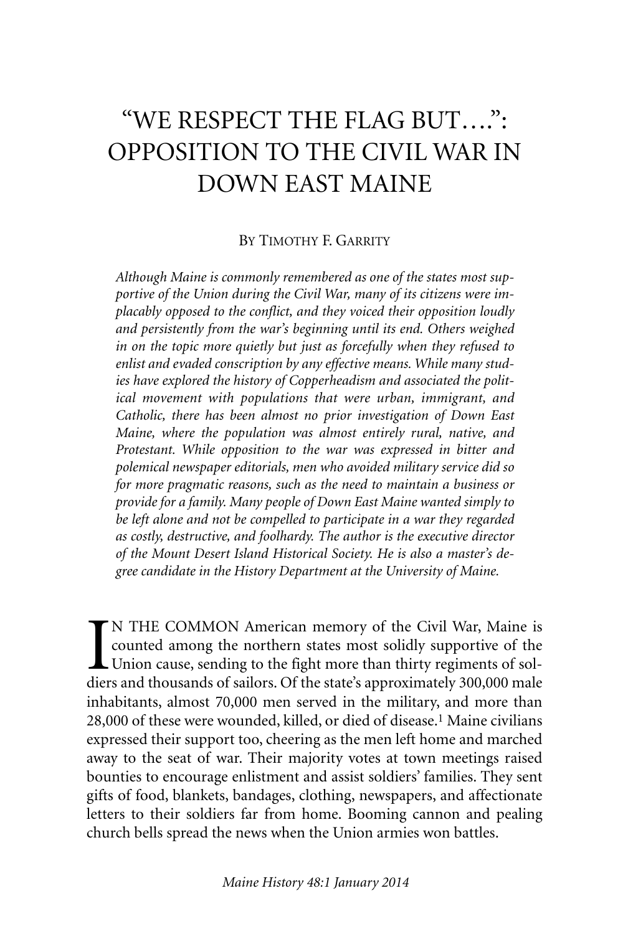# "WE RESPECT THE FLAG BUT….": OPPOSITION TO THE CIVIL WAR IN DOWN EAST MAINE

# BY TIMOTHY F. GARRITY

*Although Maine is commonly remembered as one of the states most supportive of the Union during the Civil War, many of its citizens were implacably opposed to the conflict, and they voiced their opposition loudly and persistently from the war's beginning until its end. Others weighed in on the topic more quietly but just as forcefully when they refused to enlist and evaded conscription by any effective means. While many studies have explored the history of Copperheadism and associated the political movement with populations that were urban, immigrant, and Catholic, there has been almost no prior investigation of Down East Maine, where the population was almost entirely rural, native, and Protestant. While opposition to the war was expressed in bitter and polemical newspaper editorials, men who avoided military service did so for more pragmatic reasons, such as the need to maintain a business or provide for a family. Many people of Down East Maine wanted simply to be left alone and not be compelled to participate in a war they regarded as costly, destructive, and foolhardy. The author is the executive director of the Mount Desert Island Historical Society. He is also a master's degree candidate in the History Department at the University of Maine.*

I<br>dier N THE COMMON American memory of the Civil War, Maine is counted among the northern states most solidly supportive of the Union cause, sending to the fight more than thirty regiments of soldiers and thousands of sailors. Of the state's approximately 300,000 male inhabitants, almost 70,000 men served in the military, and more than 28,000 of these were wounded, killed, or died of disease. 1 Maine civilians expressed their support too, cheering as the men left home and marched away to the seat of war. Their majority votes at town meetings raised bounties to encourage enlistment and assist soldiers' families. They sent gifts of food, blankets, bandages, clothing, newspapers, and affectionate letters to their soldiers far from home. Booming cannon and pealing church bells spread the news when the Union armies won battles.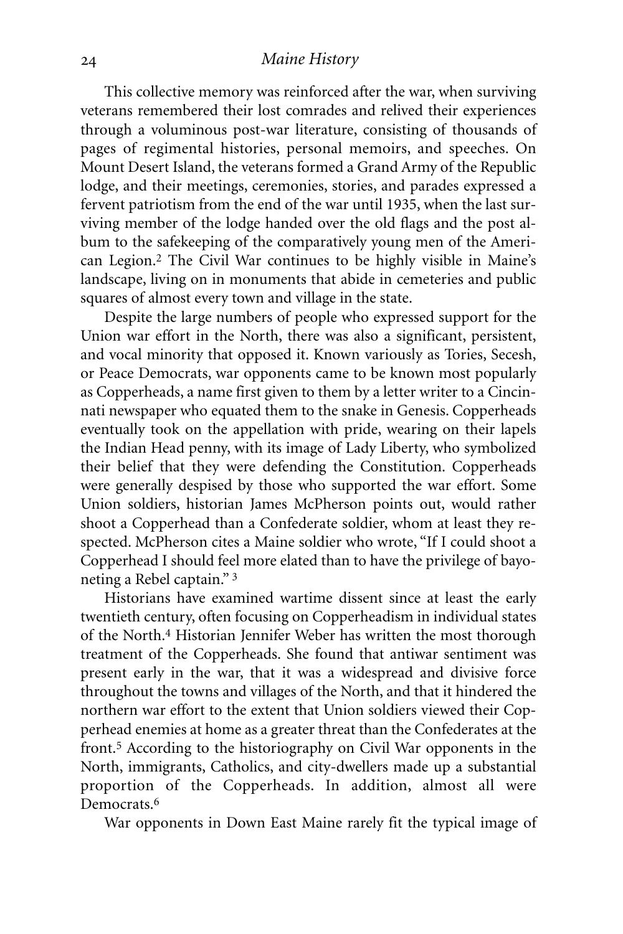This collective memory was reinforced after the war, when surviving veterans remembered their lost comrades and relived their experiences through a voluminous post-war literature, consisting of thousands of pages of regimental histories, personal memoirs, and speeches. On Mount Desert Island, the veterans formed a Grand Army of the Republic lodge, and their meetings, ceremonies, stories, and parades expressed a fervent patriotism from the end of the war until 1935, when the last surviving member of the lodge handed over the old flags and the post album to the safekeeping of the comparatively young men of the American Legion.2 The Civil War continues to be highly visible in Maine's landscape, living on in monuments that abide in cemeteries and public squares of almost every town and village in the state.

Despite the large numbers of people who expressed support for the Union war effort in the North, there was also a significant, persistent, and vocal minority that opposed it. Known variously as Tories, Secesh, or Peace Democrats, war opponents came to be known most popularly as Copperheads, a name first given to them by a letter writer to a Cincinnati newspaper who equated them to the snake in Genesis. Copperheads eventually took on the appellation with pride, wearing on their lapels the Indian Head penny, with its image of Lady Liberty, who symbolized their belief that they were defending the Constitution. Copperheads were generally despised by those who supported the war effort. Some Union soldiers, historian James McPherson points out, would rather shoot a Copperhead than a Confederate soldier, whom at least they respected. McPherson cites a Maine soldier who wrote, "If I could shoot a Copperhead I should feel more elated than to have the privilege of bayoneting a Rebel captain." 3

Historians have examined wartime dissent since at least the early twentieth century, often focusing on Copperheadism in individual states of the North. 4 Historian Jennifer Weber has written the most thorough treatment of the Copperheads. She found that antiwar sentiment was present early in the war, that it was a widespread and divisive force throughout the towns and villages of the North, and that it hindered the northern war effort to the extent that Union soldiers viewed their Copperhead enemies at home as a greater threat than the Confederates at the front.5 According to the historiography on Civil War opponents in the North, immigrants, Catholics, and city-dwellers made up a substantial proportion of the Copperheads. In addition, almost all were Democrats. 6

War opponents in Down East Maine rarely fit the typical image of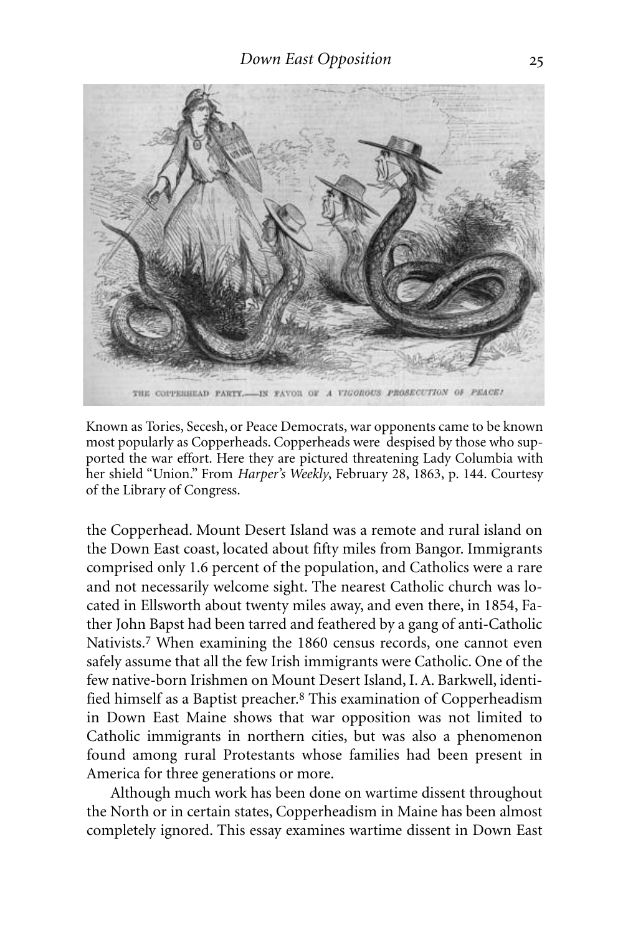

Known as Tories, Secesh, or Peace Democrats, war opponents came to be known most popularly as Copperheads. Copperheads were despised by those who supported the war effort. Here they are pictured threatening Lady Columbia with her shield "Union." From *Harper's Weekly*, February 28, 1863, p. 144. Courtesy of the Library of Congress.

the Copperhead. Mount Desert Island was a remote and rural island on the Down East coast, located about fifty miles from Bangor. Immigrants comprised only 1.6 percent of the population, and Catholics were a rare and not necessarily welcome sight. The nearest Catholic church was located in Ellsworth about twenty miles away, and even there, in 1854, Father John Bapst had been tarred and feathered by a gang of anti-Catholic Nativists. 7 When examining the 1860 census records, one cannot even safely assume that all the few Irish immigrants were Catholic. One of the few native-born Irishmen on Mount Desert Island, I.A. Barkwell, identified himself as a Baptist preacher. 8 This examination of Copperheadism in Down East Maine shows that war opposition was not limited to Catholic immigrants in northern cities, but was also a phenomenon found among rural Protestants whose families had been present in America for three generations or more.

Although much work has been done on wartime dissent throughout the North or in certain states, Copperheadism in Maine has been almost completely ignored. This essay examines wartime dissent in Down East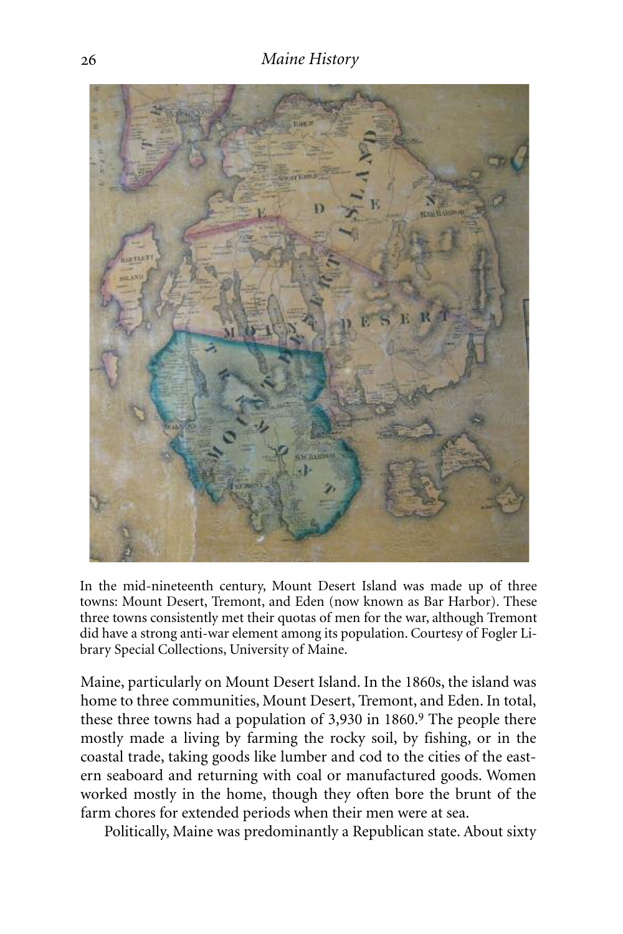

In the mid-nineteenth century, Mount Desert Island was made up of three towns: Mount Desert, Tremont, and Eden (now known as Bar Harbor). These three towns consistently met their quotas of men for the war, although Tremont did have a strong anti-war element among its population. Courtesy of Fogler Library Special Collections, University of Maine.

Maine, particularly on Mount Desert Island. In the 1860s, the island was home to three communities, Mount Desert, Tremont, and Eden. In total, these three towns had a population of 3,930 in 1860. 9 The people there mostly made a living by farming the rocky soil, by fishing, or in the coastal trade, taking goods like lumber and cod to the cities of the eastern seaboard and returning with coal or manufactured goods. Women worked mostly in the home, though they often bore the brunt of the farm chores for extended periods when their men were at sea.

Politically, Maine was predominantly a Republican state. About sixty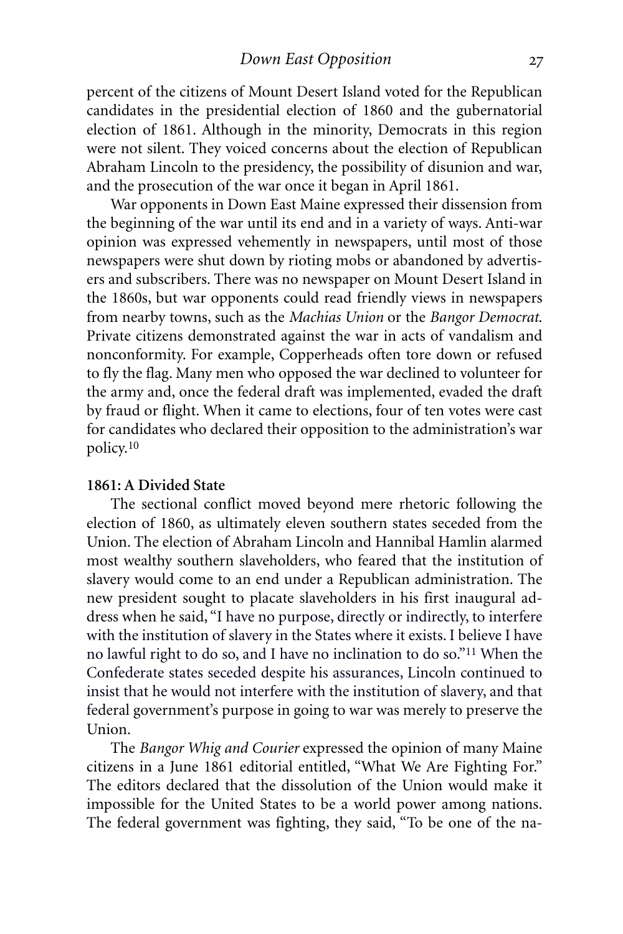percent of the citizens of Mount Desert Island voted for the Republican candidates in the presidential election of 1860 and the gubernatorial election of 1861. Although in the minority, Democrats in this region were not silent. They voiced concerns about the election of Republican Abraham Lincoln to the presidency, the possibility of disunion and war, and the prosecution of the war once it began in April 1861.

War opponents in Down East Maine expressed their dissension from the beginning of the war until its end and in a variety of ways. Anti-war opinion was expressed vehemently in newspapers, until most of those newspapers were shut down by rioting mobs or abandoned by advertisers and subscribers. There was no newspaper on Mount Desert Island in the 1860s, but war opponents could read friendly views in newspapers from nearby towns, such as the *Machias Union* or the *Bangor Democrat*. Private citizens demonstrated against the war in acts of vandalism and nonconformity. For example, Copperheads often tore down or refused to fly the flag. Many men who opposed the war declined to volunteer for the army and, once the federal draft was implemented, evaded the draft by fraud or flight. When it came to elections, four of ten votes were cast for candidates who declared their opposition to the administration's war policy. 10

# **1861: A Divided State**

The sectional conflict moved beyond mere rhetoric following the election of 1860, as ultimately eleven southern states seceded from the Union. The election of Abraham Lincoln and Hannibal Hamlin alarmed most wealthy southern slaveholders, who feared that the institution of slavery would come to an end under a Republican administration. The new president sought to placate slaveholders in his first inaugural address when he said, "I have no purpose, directly or indirectly, to interfere with the institution of slavery in the States where it exists. I believe I have no lawful right to do so, and I have no inclination to do so."11 When the Confederate states seceded despite his assurances, Lincoln continued to insist that he would not interfere with the institution of slavery, and that federal government's purpose in going to war was merely to preserve the Union.

The *Bangor Whig and Courier* expressed the opinion of many Maine citizens in a June 1861 editorial entitled, "What We Are Fighting For." The editors declared that the dissolution of the Union would make it impossible for the United States to be a world power among nations. The federal government was fighting, they said, "To be one of the na-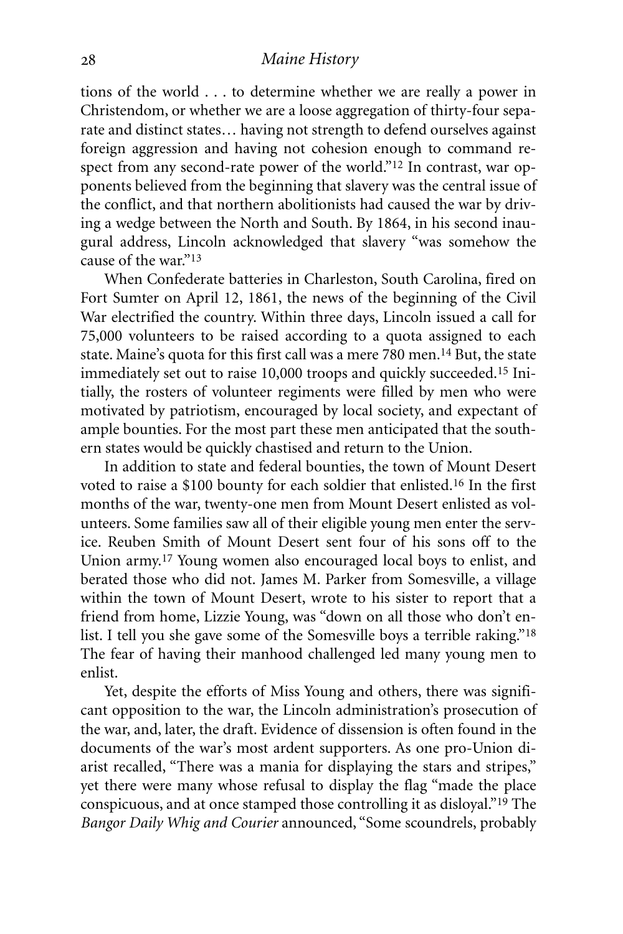tions of the world . . . to determine whether we are really a power in Christendom, or whether we are a loose aggregation of thirty-four separate and distinct states… having not strength to defend ourselves against foreign aggression and having not cohesion enough to command respect from any second-rate power of the world."12 In contrast, war opponents believed from the beginning that slavery was the central issue of the conflict, and that northern abolitionists had caused the war by driving a wedge between the North and South. By 1864, in his second inaugural address, Lincoln acknowledged that slavery "was somehow the cause of the war."13

When Confederate batteries in Charleston, South Carolina, fired on Fort Sumter on April 12, 1861, the news of the beginning of the Civil War electrified the country. Within three days, Lincoln issued a call for 75,000 volunteers to be raised according to a quota assigned to each state. Maine's quota for this first call was a mere 780 men. 14 But, the state immediately set out to raise 10,000 troops and quickly succeeded.15 Initially, the rosters of volunteer regiments were filled by men who were motivated by patriotism, encouraged by local society, and expectant of ample bounties. For the most part these men anticipated that the southern states would be quickly chastised and return to the Union.

In addition to state and federal bounties, the town of Mount Desert voted to raise a \$100 bounty for each soldier that enlisted.16 In the first months of the war, twenty-one men from Mount Desert enlisted as volunteers. Some families saw all of their eligible young men enter the service. Reuben Smith of Mount Desert sent four of his sons off to the Union army. 17 Young women also encouraged local boys to enlist, and berated those who did not. James M. Parker from Somesville, a village within the town of Mount Desert, wrote to his sister to report that a friend from home, Lizzie Young, was "down on all those who don't enlist. I tell you she gave some of the Somesville boys a terrible raking."18 The fear of having their manhood challenged led many young men to enlist.

Yet, despite the efforts of Miss Young and others, there was significant opposition to the war, the Lincoln administration's prosecution of the war, and, later, the draft. Evidence of dissension is often found in the documents of the war's most ardent supporters. As one pro-Union diarist recalled, "There was a mania for displaying the stars and stripes," yet there were many whose refusal to display the flag "made the place conspicuous, and at once stamped those controlling it as disloyal."19 The *Bangor Daily Whig and Courier* announced, "Some scoundrels, probably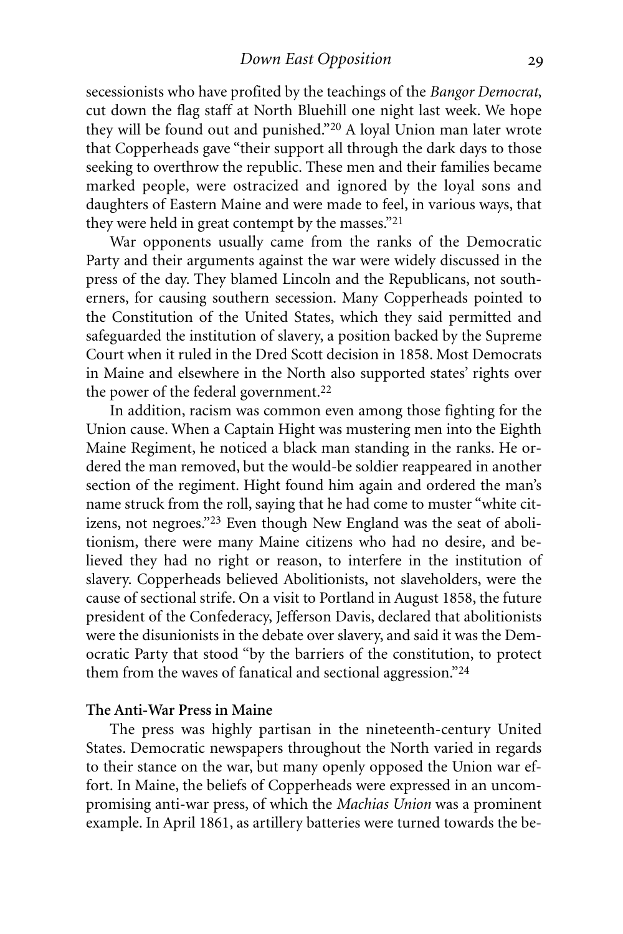secessionists who have profited by the teachings of the *Bangor Democrat*, cut down the flag staff at North Bluehill one night last week. We hope they will be found out and punished."20 A loyal Union man later wrote that Copperheads gave "their support all through the dark days to those seeking to overthrow the republic. These men and their families became marked people, were ostracized and ignored by the loyal sons and daughters of Eastern Maine and were made to feel, in various ways, that they were held in great contempt by the masses."21

War opponents usually came from the ranks of the Democratic Party and their arguments against the war were widely discussed in the press of the day. They blamed Lincoln and the Republicans, not southerners, for causing southern secession. Many Copperheads pointed to the Constitution of the United States, which they said permitted and safeguarded the institution of slavery, a position backed by the Supreme Court when it ruled in the Dred Scott decision in 1858. Most Democrats in Maine and elsewhere in the North also supported states' rights over the power of the federal government. 22

In addition, racism was common even among those fighting for the Union cause. When a Captain Hight was mustering men into the Eighth Maine Regiment, he noticed a black man standing in the ranks. He ordered the man removed, but the would-be soldier reappeared in another section of the regiment. Hight found him again and ordered the man's name struck from the roll, saying that he had come to muster "white citizens, not negroes."23 Even though New England was the seat of abolitionism, there were many Maine citizens who had no desire, and believed they had no right or reason, to interfere in the institution of slavery. Copperheads believed Abolitionists, not slaveholders, were the cause of sectional strife. On a visit to Portland in August 1858, the future president of the Confederacy, Jefferson Davis, declared that abolitionists were the disunionists in the debate over slavery, and said it was the Democratic Party that stood "by the barriers of the constitution, to protect them from the waves of fanatical and sectional aggression."24

# **The Anti-War Press in Maine**

The press was highly partisan in the nineteenth-century United States. Democratic newspapers throughout the North varied in regards to their stance on the war, but many openly opposed the Union war effort. In Maine, the beliefs of Copperheads were expressed in an uncompromising anti-war press, of which the *Machias Union* was a prominent example. In April 1861, as artillery batteries were turned towards the be-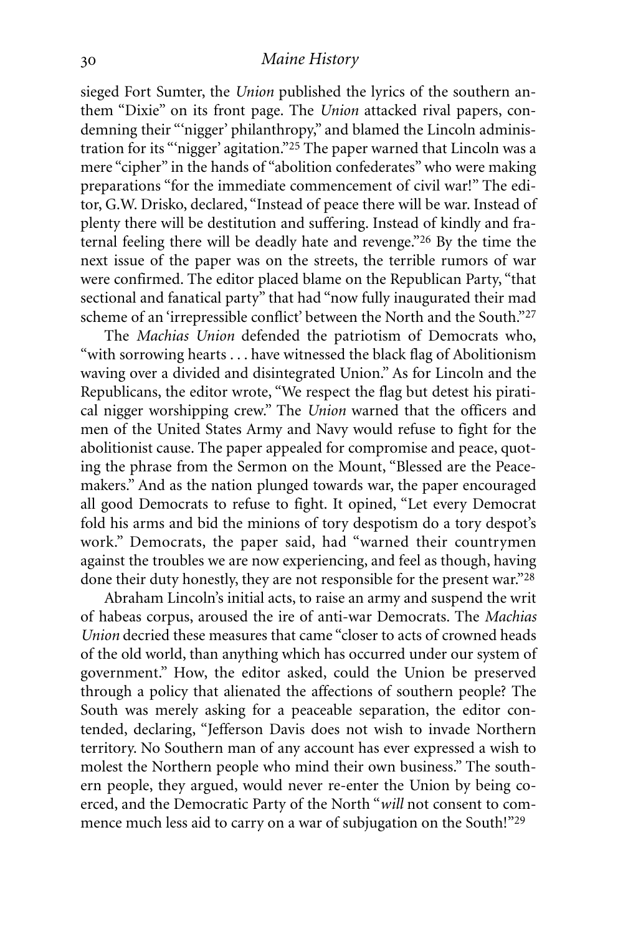sieged Fort Sumter, the *Union* published the lyrics of the southern anthem "Dixie" on its front page. The *Union* attacked rival papers, condemning their "'nigger' philanthropy," and blamed the Lincoln administration for its "'nigger' agitation."25 The paper warned that Lincoln was a mere "cipher" in the hands of "abolition confederates"who were making preparations "for the immediate commencement of civil war!" The editor, G.W. Drisko, declared, "Instead of peace there will be war. Instead of plenty there will be destitution and suffering. Instead of kindly and fraternal feeling there will be deadly hate and revenge."26 By the time the next issue of the paper was on the streets, the terrible rumors of war were confirmed. The editor placed blame on the Republican Party, "that sectional and fanatical party" that had "now fully inaugurated their mad scheme of an 'irrepressible conflict' between the North and the South."27

The *Machias Union* defended the patriotism of Democrats who, "with sorrowing hearts . . . have witnessed the black flag of Abolitionism waving over a divided and disintegrated Union." As for Lincoln and the Republicans, the editor wrote, "We respect the flag but detest his piratical nigger worshipping crew." The *Union* warned that the officers and men of the United States Army and Navy would refuse to fight for the abolitionist cause. The paper appealed for compromise and peace, quoting the phrase from the Sermon on the Mount, "Blessed are the Peacemakers." And as the nation plunged towards war, the paper encouraged all good Democrats to refuse to fight. It opined, "Let every Democrat fold his arms and bid the minions of tory despotism do a tory despot's work." Democrats, the paper said, had "warned their countrymen against the troubles we are now experiencing, and feel as though, having done their duty honestly, they are not responsible for the present war."28

Abraham Lincoln's initial acts, to raise an army and suspend the writ of habeas corpus, aroused the ire of anti-war Democrats. The *Machias Union* decried these measures that came "closer to acts of crowned heads of the old world, than anything which has occurred under our system of government." How, the editor asked, could the Union be preserved through a policy that alienated the affections of southern people? The South was merely asking for a peaceable separation, the editor contended, declaring, "Jefferson Davis does not wish to invade Northern territory. No Southern man of any account has ever expressed a wish to molest the Northern people who mind their own business." The southern people, they argued, would never re-enter the Union by being coerced, and the Democratic Party of the North "*will* not consent to commence much less aid to carry on a war of subjugation on the South!"29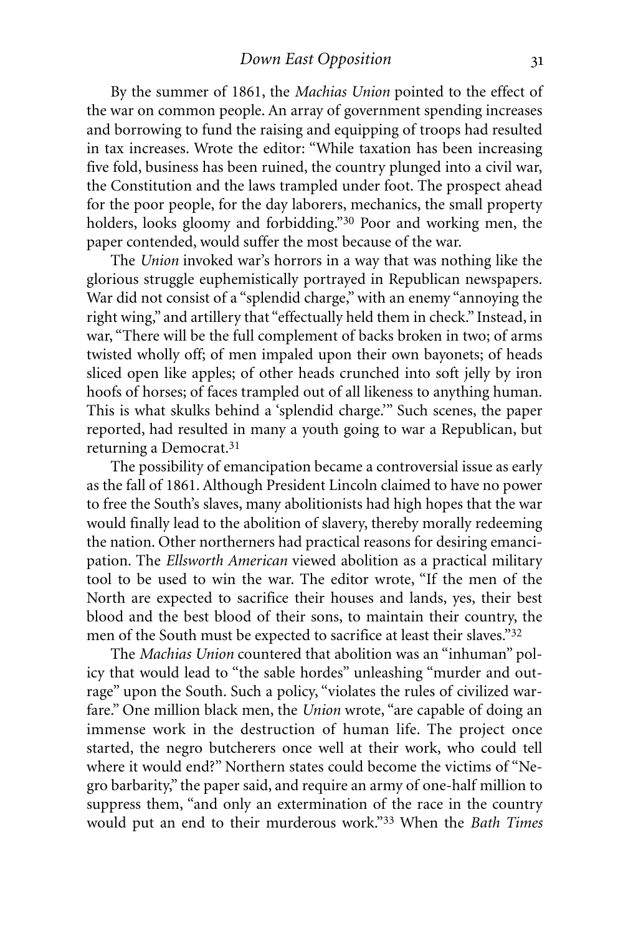By the summer of 1861, the *Machias Union* pointed to the effect of the war on common people. An array of government spending increases and borrowing to fund the raising and equipping of troops had resulted in tax increases. Wrote the editor: "While taxation has been increasing five fold, business has been ruined, the country plunged into a civil war, the Constitution and the laws trampled under foot. The prospect ahead for the poor people, for the day laborers, mechanics, the small property holders, looks gloomy and forbidding."30 Poor and working men, the paper contended, would suffer the most because of the war.

The *Union* invoked war's horrors in a way that was nothing like the glorious struggle euphemistically portrayed in Republican newspapers. War did not consist of a "splendid charge," with an enemy "annoying the right wing," and artillery that "effectually held them in check." Instead, in war, "There will be the full complement of backs broken in two; of arms twisted wholly off; of men impaled upon their own bayonets; of heads sliced open like apples; of other heads crunched into soft jelly by iron hoofs of horses; of faces trampled out of all likeness to anything human. This is what skulks behind a 'splendid charge.'" Such scenes, the paper reported, had resulted in many a youth going to war a Republican, but returning a Democrat. 31

The possibility of emancipation became a controversial issue as early as the fall of 1861. Although President Lincoln claimed to have no power to free the South's slaves, many abolitionists had high hopes that the war would finally lead to the abolition of slavery, thereby morally redeeming the nation. Other northerners had practical reasons for desiring emancipation. The *Ellsworth American* viewed abolition as a practical military tool to be used to win the war. The editor wrote, "If the men of the North are expected to sacrifice their houses and lands, yes, their best blood and the best blood of their sons, to maintain their country, the men of the South must be expected to sacrifice at least their slaves."32

The *Machias Union* countered that abolition was an "inhuman" policy that would lead to "the sable hordes" unleashing "murder and outrage" upon the South. Such a policy, "violates the rules of civilized warfare." One million black men, the *Union* wrote, "are capable of doing an immense work in the destruction of human life. The project once started, the negro butcherers once well at their work, who could tell where it would end?" Northern states could become the victims of "Negro barbarity," the paper said, and require an army of one-half million to suppress them, "and only an extermination of the race in the country would put an end to their murderous work."33 When the *Bath Times*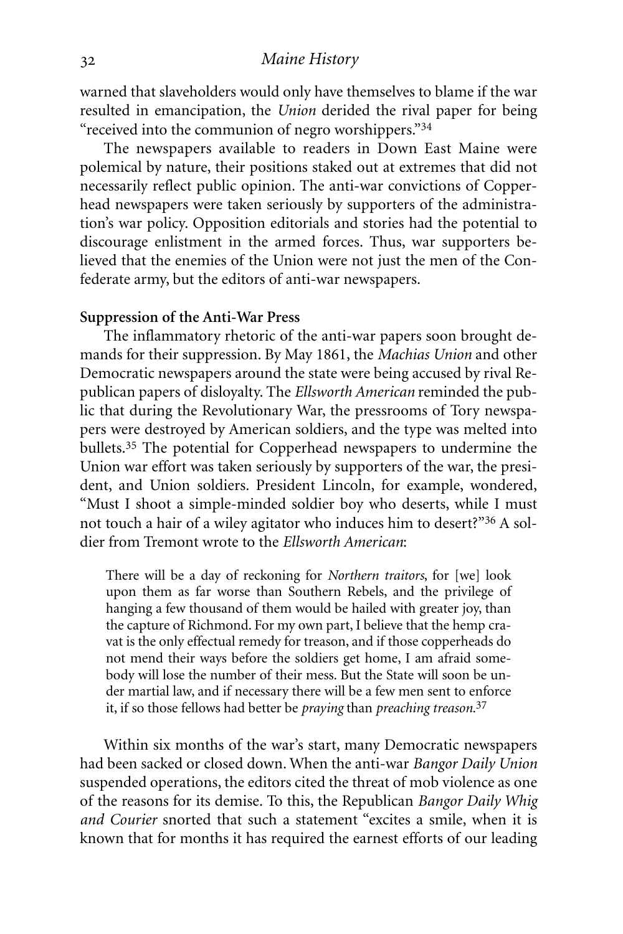warned that slaveholders would only have themselves to blame if the war resulted in emancipation, the *Union* derided the rival paper for being "received into the communion of negro worshippers."34

The newspapers available to readers in Down East Maine were polemical by nature, their positions staked out at extremes that did not necessarily reflect public opinion. The anti-war convictions of Copperhead newspapers were taken seriously by supporters of the administration's war policy. Opposition editorials and stories had the potential to discourage enlistment in the armed forces. Thus, war supporters believed that the enemies of the Union were not just the men of the Confederate army, but the editors of anti-war newspapers.

#### **Suppression of the Anti-War Press**

The inflammatory rhetoric of the anti-war papers soon brought demands for their suppression. By May 1861, the *Machias Union* and other Democratic newspapers around the state were being accused by rival Republican papers of disloyalty. The *Ellsworth American* reminded the public that during the Revolutionary War, the pressrooms of Tory newspapers were destroyed by American soldiers, and the type was melted into bullets.35 The potential for Copperhead newspapers to undermine the Union war effort was taken seriously by supporters of the war, the president, and Union soldiers. President Lincoln, for example, wondered, "Must I shoot a simple-minded soldier boy who deserts, while I must not touch a hair of a wiley agitator who induces him to desert?"36 A soldier from Tremont wrote to the *Ellsworth American*:

There will be a day of reckoning for *Northern traitors*, for [we] look upon them as far worse than Southern Rebels, and the privilege of hanging a few thousand of them would be hailed with greater joy, than the capture of Richmond. For my own part, I believe that the hemp cravat is the only effectual remedy for treason, and if those copperheads do not mend their ways before the soldiers get home, I am afraid somebody will lose the number of their mess. But the State will soon be under martial law, and if necessary there will be a few men sent to enforce it, if so those fellows had better be *praying* than *preaching treason*. 37

Within six months of the war's start, many Democratic newspapers had been sacked or closed down. When the anti-war *Bangor Daily Union* suspended operations, the editors cited the threat of mob violence as one of the reasons for its demise. To this, the Republican *Bangor Daily Whig and Courier* snorted that such a statement "excites a smile, when it is known that for months it has required the earnest efforts of our leading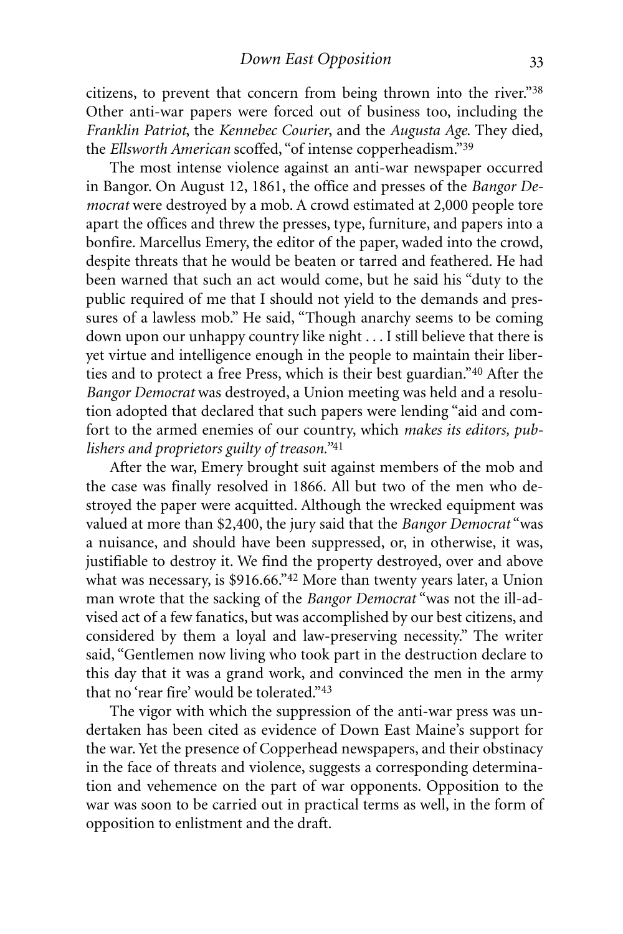citizens, to prevent that concern from being thrown into the river."38 Other anti-war papers were forced out of business too, including the *Franklin Patriot*, the *Kennebec Courier*, and the *Augusta Age*. They died, the *Ellsworth American* scoffed, "of intense copperheadism."39

The most intense violence against an anti-war newspaper occurred in Bangor. On August 12, 1861, the office and presses of the *Bangor Democrat* were destroyed by a mob. A crowd estimated at 2,000 people tore apart the offices and threw the presses, type, furniture, and papers into a bonfire. Marcellus Emery, the editor of the paper, waded into the crowd, despite threats that he would be beaten or tarred and feathered. He had been warned that such an act would come, but he said his "duty to the public required of me that I should not yield to the demands and pressures of a lawless mob." He said, "Though anarchy seems to be coming down upon our unhappy country like night . . . I still believe that there is yet virtue and intelligence enough in the people to maintain their liberties and to protect a free Press, which is their best guardian."40 After the *Bangor Democrat* was destroyed, a Union meeting was held and a resolution adopted that declared that such papers were lending "aid and comfort to the armed enemies of our country, which *makes its editors, publishers and proprietors guilty of treason."*41

After the war, Emery brought suit against members of the mob and the case was finally resolved in 1866. All but two of the men who destroyed the paper were acquitted. Although the wrecked equipment was valued at more than \$2,400, the jury said that the *Bangor Democrat* "was a nuisance, and should have been suppressed, or, in otherwise, it was, justifiable to destroy it. We find the property destroyed, over and above what was necessary, is \$916.66."42 More than twenty years later, a Union man wrote that the sacking of the *Bangor Democrat* "was not the ill-advised act of a few fanatics, but was accomplished by our best citizens, and considered by them a loyal and law-preserving necessity." The writer said, "Gentlemen now living who took part in the destruction declare to this day that it was a grand work, and convinced the men in the army that no 'rear fire' would be tolerated."43

The vigor with which the suppression of the anti-war press was undertaken has been cited as evidence of Down East Maine's support for the war. Yet the presence of Copperhead newspapers, and their obstinacy in the face of threats and violence, suggests a corresponding determination and vehemence on the part of war opponents. Opposition to the war was soon to be carried out in practical terms as well, in the form of opposition to enlistment and the draft.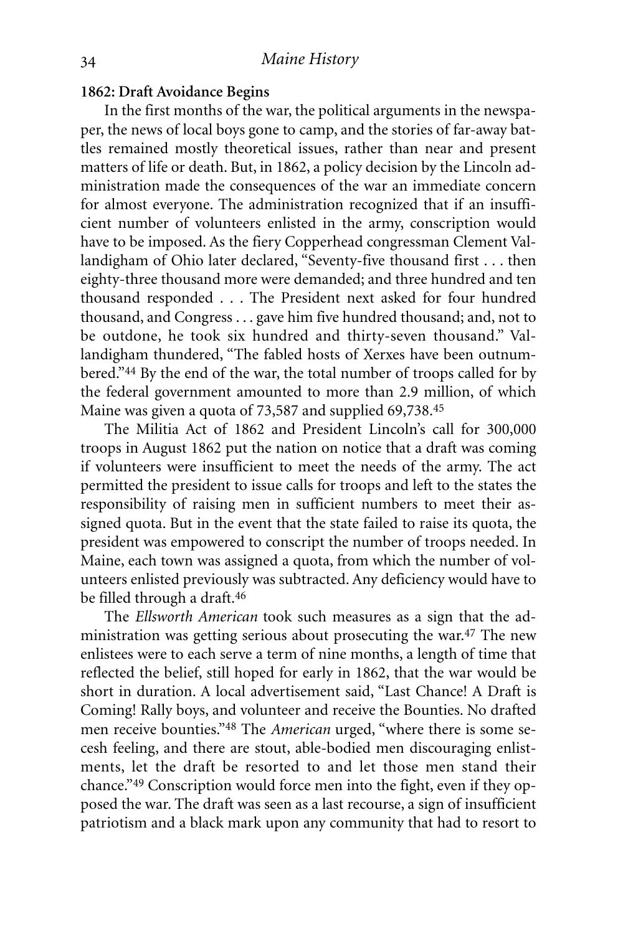#### **1862: Draft Avoidance Begins**

In the first months of the war, the political arguments in the newspaper, the news of local boys gone to camp, and the stories of far-away battles remained mostly theoretical issues, rather than near and present matters of life or death. But, in 1862, a policy decision by the Lincoln administration made the consequences of the war an immediate concern for almost everyone. The administration recognized that if an insufficient number of volunteers enlisted in the army, conscription would have to be imposed. As the fiery Copperhead congressman Clement Vallandigham of Ohio later declared, "Seventy-five thousand first . . . then eighty-three thousand more were demanded; and three hundred and ten thousand responded . . . The President next asked for four hundred thousand, and Congress . . . gave him five hundred thousand; and, not to be outdone, he took six hundred and thirty-seven thousand." Vallandigham thundered, "The fabled hosts of Xerxes have been outnumbered."44 By the end of the war, the total number of troops called for by the federal government amounted to more than 2.9 million, of which Maine was given a quota of 73,587 and supplied 69,738. 45

The Militia Act of 1862 and President Lincoln's call for 300,000 troops in August 1862 put the nation on notice that a draft was coming if volunteers were insufficient to meet the needs of the army. The act permitted the president to issue calls for troops and left to the states the responsibility of raising men in sufficient numbers to meet their assigned quota. But in the event that the state failed to raise its quota, the president was empowered to conscript the number of troops needed. In Maine, each town was assigned a quota, from which the number of volunteers enlisted previously was subtracted. Any deficiency would have to be filled through a draft. 46

The *Ellsworth American* took such measures as a sign that the administration was getting serious about prosecuting the war. 47 The new enlistees were to each serve a term of nine months, a length of time that reflected the belief, still hoped for early in 1862, that the war would be short in duration. A local advertisement said, "Last Chance! A Draft is Coming! Rally boys, and volunteer and receive the Bounties. No drafted men receive bounties."48 The *American* urged, "where there is some secesh feeling, and there are stout, able-bodied men discouraging enlistments, let the draft be resorted to and let those men stand their chance."49 Conscription would force men into the fight, even if they opposed the war. The draft was seen as a last recourse, a sign of insufficient patriotism and a black mark upon any community that had to resort to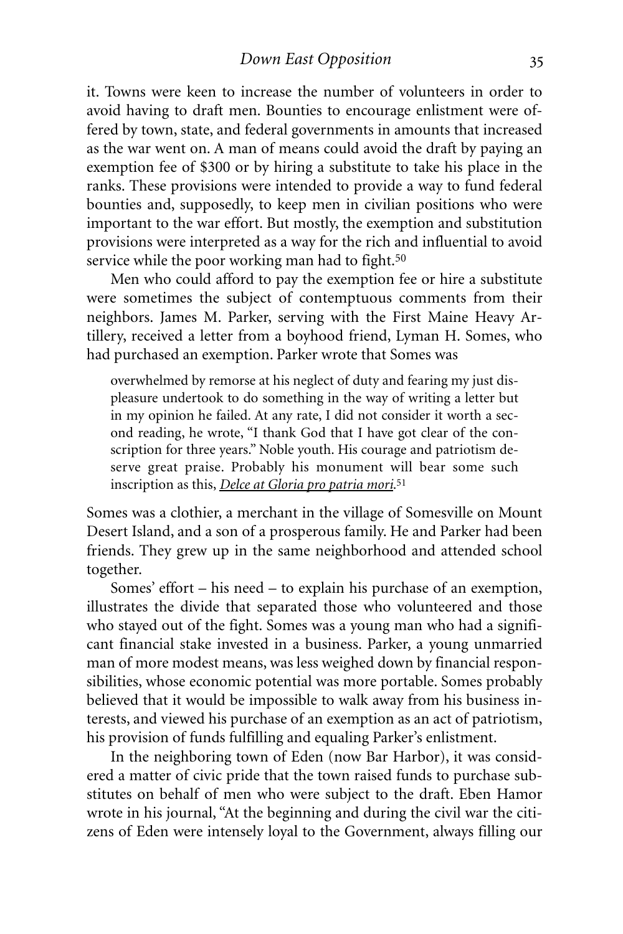it. Towns were keen to increase the number of volunteers in order to avoid having to draft men. Bounties to encourage enlistment were offered by town, state, and federal governments in amounts that increased as the war went on. A man of means could avoid the draft by paying an exemption fee of \$300 or by hiring a substitute to take his place in the ranks. These provisions were intended to provide a way to fund federal bounties and, supposedly, to keep men in civilian positions who were important to the war effort. But mostly, the exemption and substitution provisions were interpreted as a way for the rich and influential to avoid service while the poor working man had to fight.<sup>50</sup>

Men who could afford to pay the exemption fee or hire a substitute were sometimes the subject of contemptuous comments from their neighbors. James M. Parker, serving with the First Maine Heavy Artillery, received a letter from a boyhood friend, Lyman H. Somes, who had purchased an exemption. Parker wrote that Somes was

overwhelmed by remorse at his neglect of duty and fearing my just displeasure undertook to do something in the way of writing a letter but in my opinion he failed. At any rate, I did not consider it worth a second reading, he wrote, "I thank God that I have got clear of the conscription for three years." Noble youth. His courage and patriotism deserve great praise. Probably his monument will bear some such inscription as this, *Delce at Gloria pro patria mori*.51

Somes was a clothier, a merchant in the village of Somesville on Mount Desert Island, and a son of a prosperous family. He and Parker had been friends. They grew up in the same neighborhood and attended school together.

Somes' effort – his need – to explain his purchase of an exemption, illustrates the divide that separated those who volunteered and those who stayed out of the fight. Somes was a young man who had a significant financial stake invested in a business. Parker, a young unmarried man of more modest means, was less weighed down by financial responsibilities, whose economic potential was more portable. Somes probably believed that it would be impossible to walk away from his business interests, and viewed his purchase of an exemption as an act of patriotism, his provision of funds fulfilling and equaling Parker's enlistment.

In the neighboring town of Eden (now Bar Harbor), it was considered a matter of civic pride that the town raised funds to purchase substitutes on behalf of men who were subject to the draft. Eben Hamor wrote in his journal, "At the beginning and during the civil war the citizens of Eden were intensely loyal to the Government, always filling our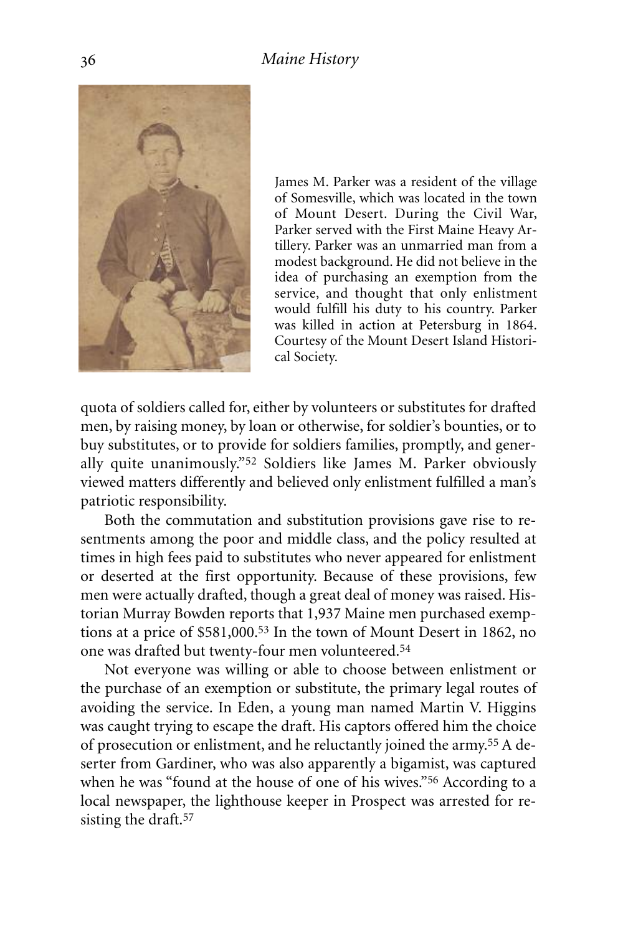

James M. Parker was a resident of the village of Somesville, which was located in the town of Mount Desert. During the Civil War, Parker served with the First Maine Heavy Artillery. Parker was an unmarried man from a modest background. He did not believe in the idea of purchasing an exemption from the service, and thought that only enlistment would fulfill his duty to his country. Parker was killed in action at Petersburg in 1864. Courtesy of the Mount Desert Island Historical Society.

quota of soldiers called for, either by volunteers or substitutes for drafted men, by raising money, by loan or otherwise, for soldier's bounties, or to buy substitutes, or to provide for soldiers families, promptly, and generally quite unanimously."52 Soldiers like James M. Parker obviously viewed matters differently and believed only enlistment fulfilled a man's patriotic responsibility.

Both the commutation and substitution provisions gave rise to resentments among the poor and middle class, and the policy resulted at times in high fees paid to substitutes who never appeared for enlistment or deserted at the first opportunity. Because of these provisions, few men were actually drafted, though a great deal of money was raised. Historian Murray Bowden reports that 1,937 Maine men purchased exemptions at a price of \$581,000. 53 In the town of Mount Desert in 1862, no one was drafted but twenty-four men volunteered.54

Not everyone was willing or able to choose between enlistment or the purchase of an exemption or substitute, the primary legal routes of avoiding the service. In Eden, a young man named Martin V. Higgins was caught trying to escape the draft. His captors offered him the choice of prosecution or enlistment, and he reluctantly joined the army. 55 A deserter from Gardiner, who was also apparently a bigamist, was captured when he was "found at the house of one of his wives."56 According to a local newspaper, the lighthouse keeper in Prospect was arrested for resisting the draft.<sup>57</sup>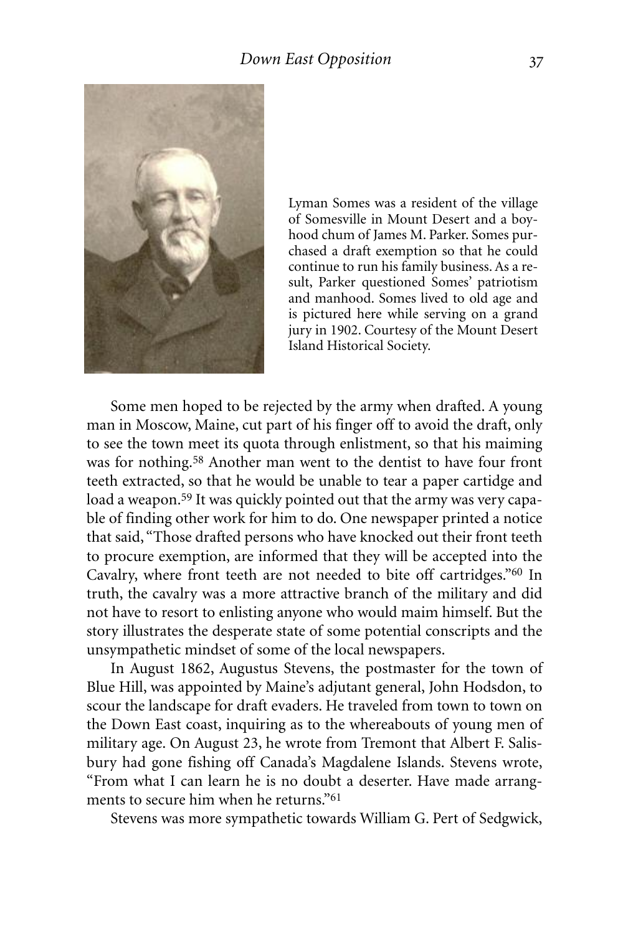

Lyman Somes was a resident of the village of Somesville in Mount Desert and a boyhood chum of James M. Parker. Somes purchased a draft exemption so that he could continue to run his family business. As a result, Parker questioned Somes' patriotism and manhood. Somes lived to old age and is pictured here while serving on a grand jury in 1902. Courtesy of the Mount Desert Island Historical Society.

Some men hoped to be rejected by the army when drafted. A young man in Moscow, Maine, cut part of his finger off to avoid the draft, only to see the town meet its quota through enlistment, so that his maiming was for nothing. 58 Another man went to the dentist to have four front teeth extracted, so that he would be unable to tear a paper cartidge and load a weapon. 59 It was quickly pointed out that the army was very capable of finding other work for him to do. One newspaper printed a notice that said, "Those drafted persons who have knocked out their front teeth to procure exemption, are informed that they will be accepted into the Cavalry, where front teeth are not needed to bite off cartridges."60 In truth, the cavalry was a more attractive branch of the military and did not have to resort to enlisting anyone who would maim himself. But the story illustrates the desperate state of some potential conscripts and the unsympathetic mindset of some of the local newspapers.

In August 1862, Augustus Stevens, the postmaster for the town of Blue Hill, was appointed by Maine's adjutant general, John Hodsdon, to scour the landscape for draft evaders. He traveled from town to town on the Down East coast, inquiring as to the whereabouts of young men of military age. On August 23, he wrote from Tremont that Albert F. Salisbury had gone fishing off Canada's Magdalene Islands. Stevens wrote, "From what I can learn he is no doubt a deserter. Have made arrangments to secure him when he returns."61

Stevens was more sympathetic towards William G. Pert of Sedgwick,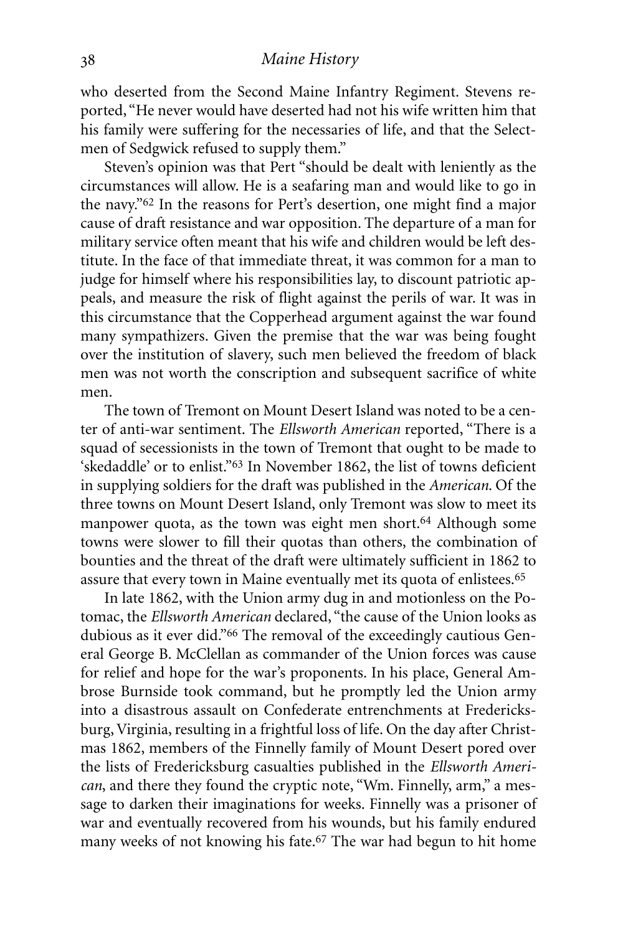who deserted from the Second Maine Infantry Regiment. Stevens reported, "He never would have deserted had not his wife written him that his family were suffering for the necessaries of life, and that the Selectmen of Sedgwick refused to supply them."

Steven's opinion was that Pert "should be dealt with leniently as the circumstances will allow. He is a seafaring man and would like to go in the navy."62 In the reasons for Pert's desertion, one might find a major cause of draft resistance and war opposition. The departure of a man for military service often meant that his wife and children would be left destitute. In the face of that immediate threat, it was common for a man to judge for himself where his responsibilities lay, to discount patriotic appeals, and measure the risk of flight against the perils of war. It was in this circumstance that the Copperhead argument against the war found many sympathizers. Given the premise that the war was being fought over the institution of slavery, such men believed the freedom of black men was not worth the conscription and subsequent sacrifice of white men.

The town of Tremont on Mount Desert Island was noted to be a center of anti-war sentiment. The *Ellsworth American* reported, "There is a squad of secessionists in the town of Tremont that ought to be made to 'skedaddle' or to enlist."63 In November 1862, the list of towns deficient in supplying soldiers for the draft was published in the *American*. Of the three towns on Mount Desert Island, only Tremont was slow to meet its manpower quota, as the town was eight men short.<sup>64</sup> Although some towns were slower to fill their quotas than others, the combination of bounties and the threat of the draft were ultimately sufficient in 1862 to assure that every town in Maine eventually met its quota of enlistees. 65

In late 1862, with the Union army dug in and motionless on the Potomac, the *Ellsworth American* declared, "the cause of the Union looks as dubious as it ever did."66 The removal of the exceedingly cautious General George B. McClellan as commander of the Union forces was cause for relief and hope for the war's proponents. In his place, General Ambrose Burnside took command, but he promptly led the Union army into a disastrous assault on Confederate entrenchments at Fredericksburg, Virginia, resulting in a frightful loss of life. On the day after Christmas 1862, members of the Finnelly family of Mount Desert pored over the lists of Fredericksburg casualties published in the *Ellsworth American*, and there they found the cryptic note, "Wm. Finnelly, arm," a message to darken their imaginations for weeks. Finnelly was a prisoner of war and eventually recovered from his wounds, but his family endured many weeks of not knowing his fate. 67 The war had begun to hit home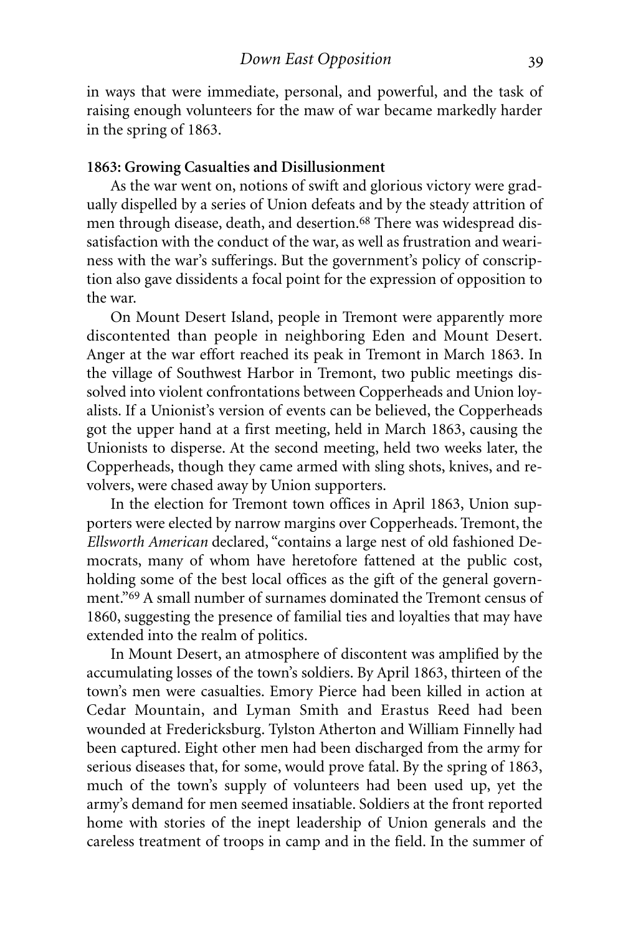in ways that were immediate, personal, and powerful, and the task of raising enough volunteers for the maw of war became markedly harder in the spring of 1863.

#### **1863: Growing Casualties and Disillusionment**

As the war went on, notions of swift and glorious victory were gradually dispelled by a series of Union defeats and by the steady attrition of men through disease, death, and desertion.<sup>68</sup> There was widespread dissatisfaction with the conduct of the war, as well as frustration and weariness with the war's sufferings. But the government's policy of conscription also gave dissidents a focal point for the expression of opposition to the war.

On Mount Desert Island, people in Tremont were apparently more discontented than people in neighboring Eden and Mount Desert. Anger at the war effort reached its peak in Tremont in March 1863. In the village of Southwest Harbor in Tremont, two public meetings dissolved into violent confrontations between Copperheads and Union loyalists. If a Unionist's version of events can be believed, the Copperheads got the upper hand at a first meeting, held in March 1863, causing the Unionists to disperse. At the second meeting, held two weeks later, the Copperheads, though they came armed with sling shots, knives, and revolvers, were chased away by Union supporters.

In the election for Tremont town offices in April 1863, Union supporters were elected by narrow margins over Copperheads. Tremont, the *Ellsworth American* declared, "contains a large nest of old fashioned Democrats, many of whom have heretofore fattened at the public cost, holding some of the best local offices as the gift of the general government."69 A small number of surnames dominated the Tremont census of 1860, suggesting the presence of familial ties and loyalties that may have extended into the realm of politics.

In Mount Desert, an atmosphere of discontent was amplified by the accumulating losses of the town's soldiers. By April 1863, thirteen of the town's men were casualties. Emory Pierce had been killed in action at Cedar Mountain, and Lyman Smith and Erastus Reed had been wounded at Fredericksburg. Tylston Atherton and William Finnelly had been captured. Eight other men had been discharged from the army for serious diseases that, for some, would prove fatal. By the spring of 1863, much of the town's supply of volunteers had been used up, yet the army's demand for men seemed insatiable. Soldiers at the front reported home with stories of the inept leadership of Union generals and the careless treatment of troops in camp and in the field. In the summer of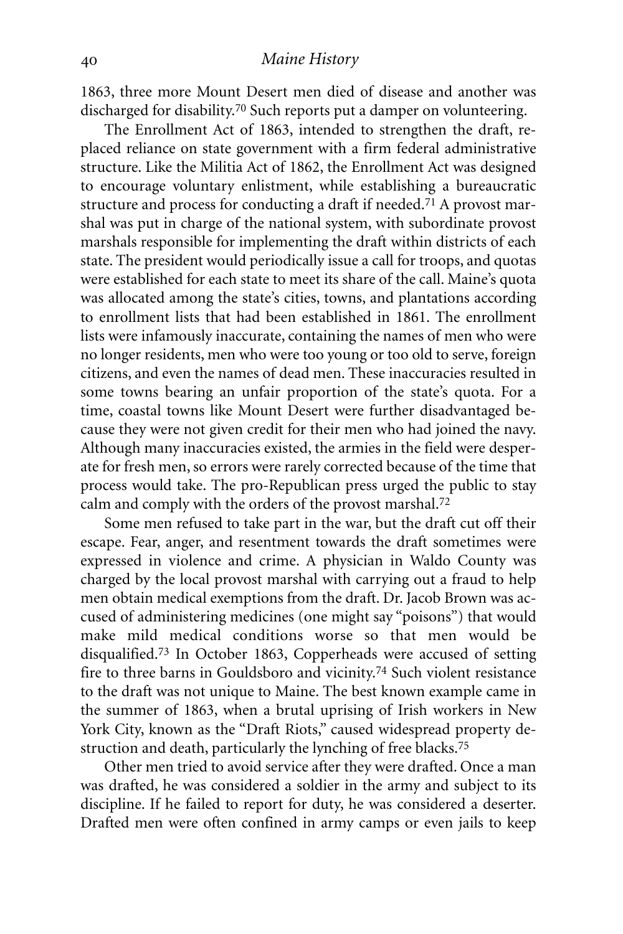1863, three more Mount Desert men died of disease and another was discharged for disability. 70 Such reports put a damper on volunteering.

The Enrollment Act of 1863, intended to strengthen the draft, replaced reliance on state government with a firm federal administrative structure. Like the Militia Act of 1862, the Enrollment Act was designed to encourage voluntary enlistment, while establishing a bureaucratic structure and process for conducting a draft if needed.71 A provost marshal was put in charge of the national system, with subordinate provost marshals responsible for implementing the draft within districts of each state. The president would periodically issue a call for troops, and quotas were established for each state to meet its share of the call. Maine's quota was allocated among the state's cities, towns, and plantations according to enrollment lists that had been established in 1861. The enrollment lists were infamously inaccurate, containing the names of men who were no longer residents, men who were too young or too old to serve, foreign citizens, and even the names of dead men. These inaccuracies resulted in some towns bearing an unfair proportion of the state's quota. For a time, coastal towns like Mount Desert were further disadvantaged because they were not given credit for their men who had joined the navy. Although many inaccuracies existed, the armies in the field were desperate for fresh men, so errors were rarely corrected because of the time that process would take. The pro-Republican press urged the public to stay calm and comply with the orders of the provost marshal. 72

Some men refused to take part in the war, but the draft cut off their escape. Fear, anger, and resentment towards the draft sometimes were expressed in violence and crime. A physician in Waldo County was charged by the local provost marshal with carrying out a fraud to help men obtain medical exemptions from the draft. Dr. Jacob Brown was accused of administering medicines (one might say "poisons") that would make mild medical conditions worse so that men would be disqualified. 73 In October 1863, Copperheads were accused of setting fire to three barns in Gouldsboro and vicinity.74 Such violent resistance to the draft was not unique to Maine. The best known example came in the summer of 1863, when a brutal uprising of Irish workers in New York City, known as the "Draft Riots," caused widespread property destruction and death, particularly the lynching of free blacks. 75

Other men tried to avoid service after they were drafted. Once a man was drafted, he was considered a soldier in the army and subject to its discipline. If he failed to report for duty, he was considered a deserter. Drafted men were often confined in army camps or even jails to keep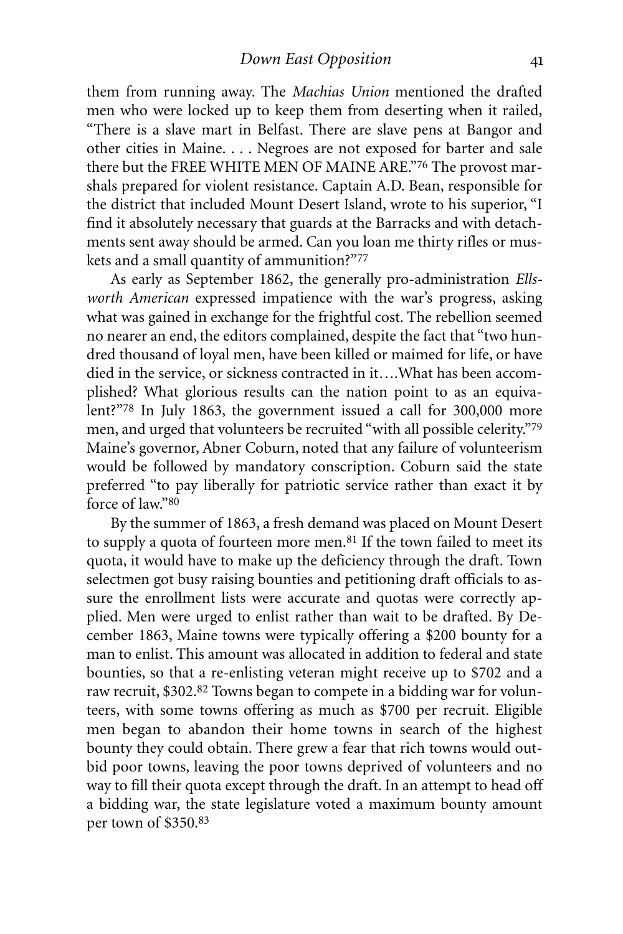them from running away. The *Machias Union* mentioned the drafted men who were locked up to keep them from deserting when it railed, "There is a slave mart in Belfast. There are slave pens at Bangor and other cities in Maine. . . . Negroes are not exposed for barter and sale there but the FREE WHITE MEN OF MAINE ARE."76 The provost marshals prepared for violent resistance. Captain A.D. Bean, responsible for the district that included Mount Desert Island, wrote to his superior, "I find it absolutely necessary that guards at the Barracks and with detachments sent away should be armed. Can you loan me thirty rifles or muskets and a small quantity of ammunition?"77

As early as September 1862, the generally pro-administration *Ellsworth American* expressed impatience with the war's progress, asking what was gained in exchange for the frightful cost. The rebellion seemed no nearer an end, the editors complained, despite the fact that "two hundred thousand of loyal men, have been killed or maimed for life, or have died in the service, or sickness contracted in it….What has been accomplished? What glorious results can the nation point to as an equivalent?"78 In July 1863, the government issued a call for 300,000 more men, and urged that volunteers be recruited "with all possible celerity."79 Maine's governor, Abner Coburn, noted that any failure of volunteerism would be followed by mandatory conscription. Coburn said the state preferred "to pay liberally for patriotic service rather than exact it by force of law."80

By the summer of 1863, a fresh demand was placed on Mount Desert to supply a quota of fourteen more men. $81$  If the town failed to meet its quota, it would have to make up the deficiency through the draft. Town selectmen got busy raising bounties and petitioning draft officials to assure the enrollment lists were accurate and quotas were correctly applied. Men were urged to enlist rather than wait to be drafted. By December 1863, Maine towns were typically offering a \$200 bounty for a man to enlist. This amount was allocated in addition to federal and state bounties, so that a re-enlisting veteran might receive up to \$702 and a raw recruit, \$302. 82 Towns began to compete in a bidding war for volunteers, with some towns offering as much as \$700 per recruit. Eligible men began to abandon their home towns in search of the highest bounty they could obtain. There grew a fear that rich towns would outbid poor towns, leaving the poor towns deprived of volunteers and no way to fill their quota except through the draft. In an attempt to head off a bidding war, the state legislature voted a maximum bounty amount per town of \$350. 83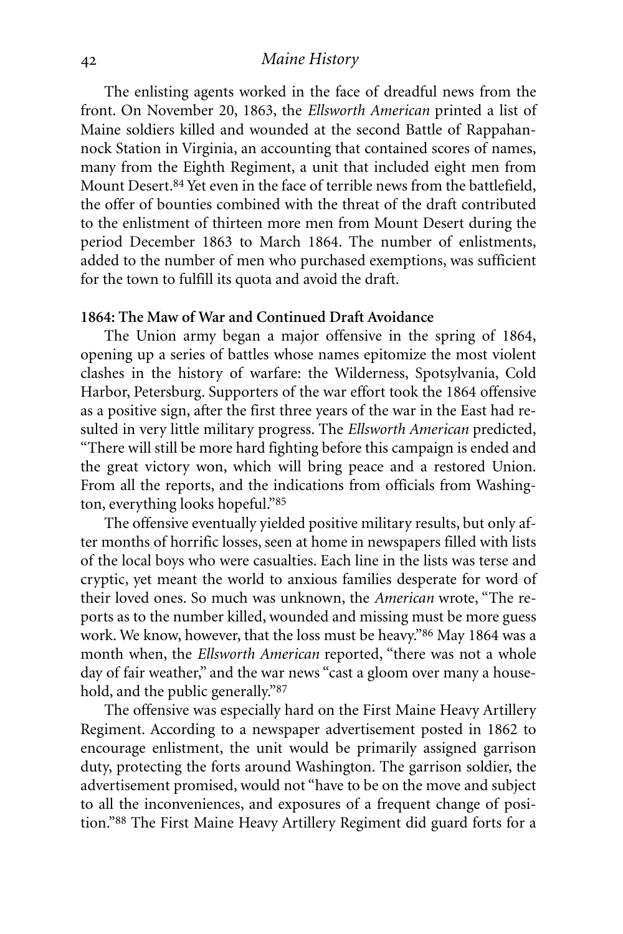The enlisting agents worked in the face of dreadful news from the front. On November 20, 1863, the *Ellsworth American* printed a list of Maine soldiers killed and wounded at the second Battle of Rappahannock Station in Virginia, an accounting that contained scores of names, many from the Eighth Regiment, a unit that included eight men from Mount Desert. 84 Yet even in the face of terrible news from the battlefield, the offer of bounties combined with the threat of the draft contributed to the enlistment of thirteen more men from Mount Desert during the period December 1863 to March 1864. The number of enlistments, added to the number of men who purchased exemptions, was sufficient for the town to fulfill its quota and avoid the draft.

#### **1864: The Maw of War and Continued Draft Avoidance**

The Union army began a major offensive in the spring of 1864, opening up a series of battles whose names epitomize the most violent clashes in the history of warfare: the Wilderness, Spotsylvania, Cold Harbor, Petersburg. Supporters of the war effort took the 1864 offensive as a positive sign, after the first three years of the war in the East had resulted in very little military progress. The *Ellsworth American* predicted, "There will still be more hard fighting before this campaign is ended and the great victory won, which will bring peace and a restored Union. From all the reports, and the indications from officials from Washington, everything looks hopeful."85

The offensive eventually yielded positive military results, but only after months of horrific losses, seen at home in newspapers filled with lists of the local boys who were casualties. Each line in the lists was terse and cryptic, yet meant the world to anxious families desperate for word of their loved ones. So much was unknown, the *American* wrote, "The reports as to the number killed, wounded and missing must be more guess work. We know, however, that the loss must be heavy."86 May 1864 was a month when, the *Ellsworth American* reported, "there was not a whole day of fair weather," and the war news "cast a gloom over many a household, and the public generally."87

The offensive was especially hard on the First Maine Heavy Artillery Regiment. According to a newspaper advertisement posted in 1862 to encourage enlistment, the unit would be primarily assigned garrison duty, protecting the forts around Washington. The garrison soldier, the advertisement promised, would not "have to be on the move and subject to all the inconveniences, and exposures of a frequent change of position."88 The First Maine Heavy Artillery Regiment did guard forts for a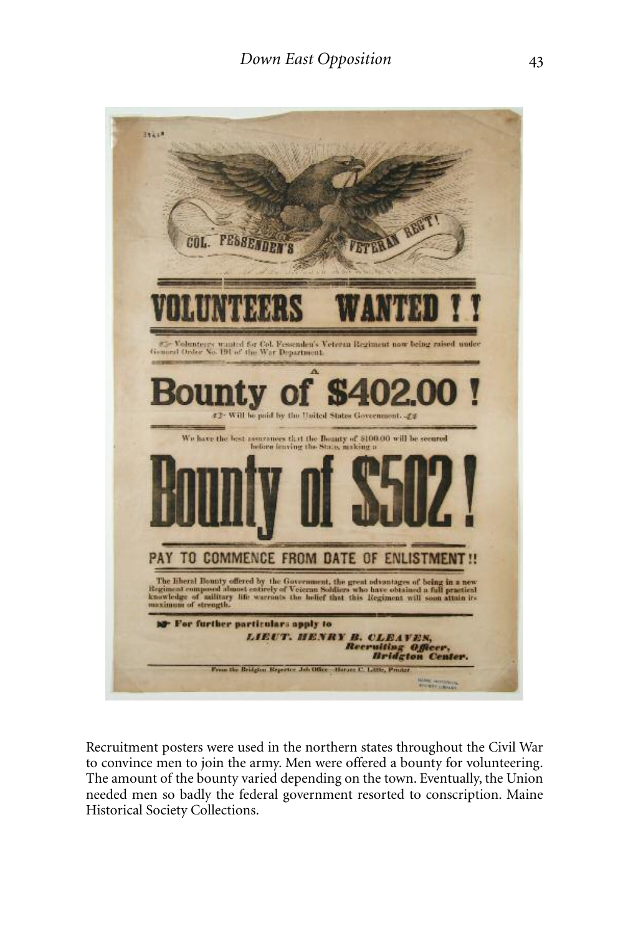

Recruitment posters were used in the northern states throughout the Civil War to convince men to join the army. Men were offered a bounty for volunteering. The amount of the bounty varied depending on the town. Eventually, the Union needed men so badly the federal government resorted to conscription. Maine Historical Society Collections.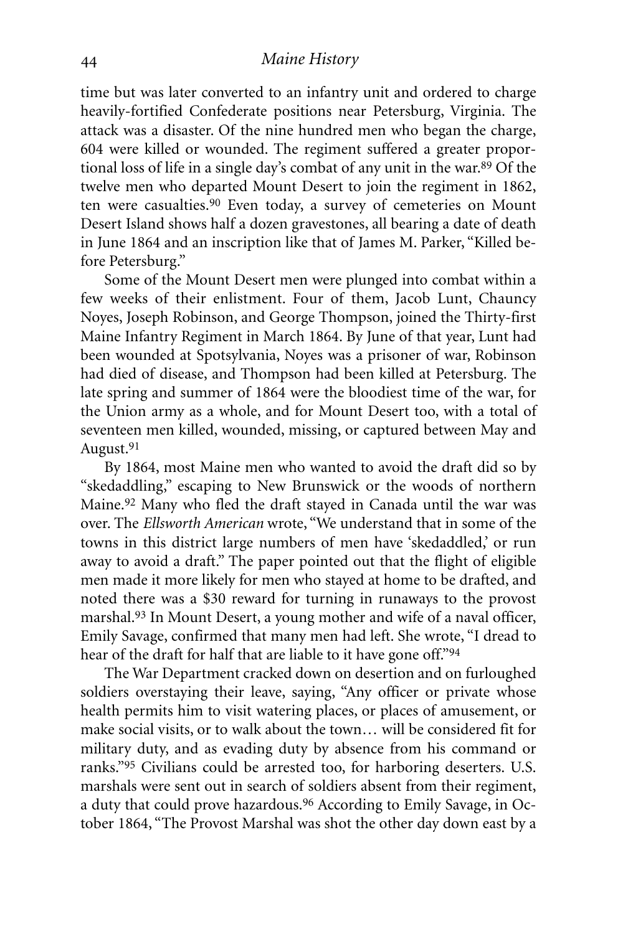time but was later converted to an infantry unit and ordered to charge heavily-fortified Confederate positions near Petersburg, Virginia. The attack was a disaster. Of the nine hundred men who began the charge, 604 were killed or wounded. The regiment suffered a greater proportional loss of life in a single day's combat of any unit in the war.89 Of the twelve men who departed Mount Desert to join the regiment in 1862, ten were casualties.90 Even today, a survey of cemeteries on Mount Desert Island shows half a dozen gravestones, all bearing a date of death in June 1864 and an inscription like that of James M. Parker, "Killed before Petersburg."

Some of the Mount Desert men were plunged into combat within a few weeks of their enlistment. Four of them, Jacob Lunt, Chauncy Noyes, Joseph Robinson, and George Thompson, joined the Thirty-first Maine Infantry Regiment in March 1864. By June of that year, Lunt had been wounded at Spotsylvania, Noyes was a prisoner of war, Robinson had died of disease, and Thompson had been killed at Petersburg. The late spring and summer of 1864 were the bloodiest time of the war, for the Union army as a whole, and for Mount Desert too, with a total of seventeen men killed, wounded, missing, or captured between May and August.91

By 1864, most Maine men who wanted to avoid the draft did so by "skedaddling," escaping to New Brunswick or the woods of northern Maine.92 Many who fled the draft stayed in Canada until the war was over. The *Ellsworth American* wrote, "We understand that in some of the towns in this district large numbers of men have 'skedaddled,' or run away to avoid a draft." The paper pointed out that the flight of eligible men made it more likely for men who stayed at home to be drafted, and noted there was a \$30 reward for turning in runaways to the provost marshal. 93 In Mount Desert, a young mother and wife of a naval officer, Emily Savage, confirmed that many men had left. She wrote, "I dread to hear of the draft for half that are liable to it have gone off."94

The War Department cracked down on desertion and on furloughed soldiers overstaying their leave, saying, "Any officer or private whose health permits him to visit watering places, or places of amusement, or make social visits, or to walk about the town… will be considered fit for military duty, and as evading duty by absence from his command or ranks."95 Civilians could be arrested too, for harboring deserters. U.S. marshals were sent out in search of soldiers absent from their regiment, a duty that could prove hazardous.96 According to Emily Savage, in October 1864, "The Provost Marshal was shot the other day down east by a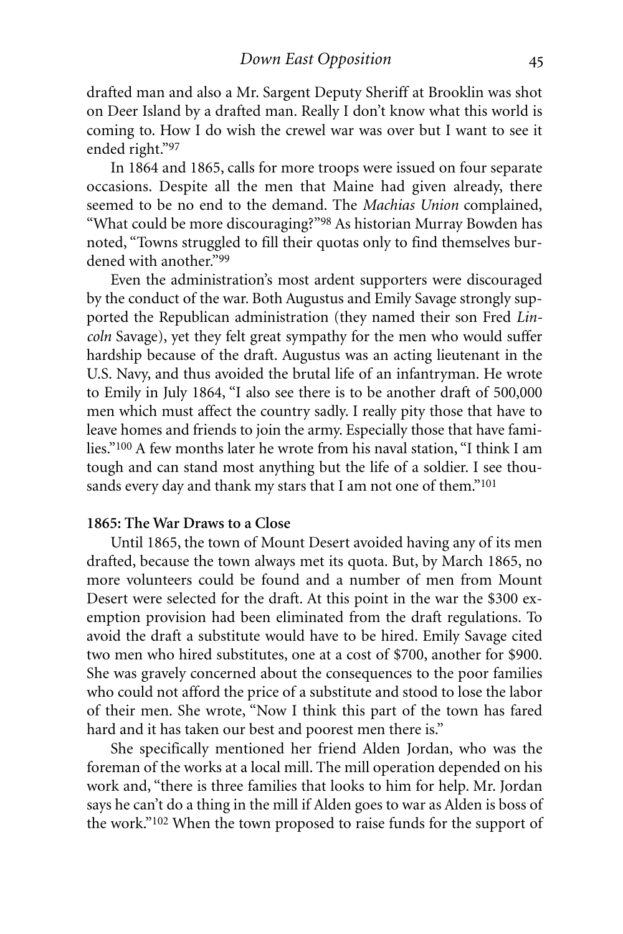drafted man and also a Mr. Sargent Deputy Sheriff at Brooklin was shot on Deer Island by a drafted man. Really I don't know what this world is coming to. How I do wish the crewel war was over but I want to see it ended right."97

In 1864 and 1865, calls for more troops were issued on four separate occasions. Despite all the men that Maine had given already, there seemed to be no end to the demand. The *Machias Union* complained, "What could be more discouraging?"98 As historian Murray Bowden has noted, "Towns struggled to fill their quotas only to find themselves burdened with another."99

Even the administration's most ardent supporters were discouraged by the conduct of the war. Both Augustus and Emily Savage strongly supported the Republican administration (they named their son Fred *Lincoln* Savage), yet they felt great sympathy for the men who would suffer hardship because of the draft. Augustus was an acting lieutenant in the U.S. Navy, and thus avoided the brutal life of an infantryman. He wrote to Emily in July 1864, "I also see there is to be another draft of 500,000 men which must affect the country sadly. I really pity those that have to leave homes and friends to join the army. Especially those that have families."100 A few months later he wrote from his naval station, "I think I am tough and can stand most anything but the life of a soldier. I see thousands every day and thank my stars that I am not one of them."<sup>101</sup>

# **1865: The War Draws to a Close**

Until 1865, the town of Mount Desert avoided having any of its men drafted, because the town always met its quota. But, by March 1865, no more volunteers could be found and a number of men from Mount Desert were selected for the draft. At this point in the war the \$300 exemption provision had been eliminated from the draft regulations. To avoid the draft a substitute would have to be hired. Emily Savage cited two men who hired substitutes, one at a cost of \$700, another for \$900. She was gravely concerned about the consequences to the poor families who could not afford the price of a substitute and stood to lose the labor of their men. She wrote, "Now I think this part of the town has fared hard and it has taken our best and poorest men there is."

She specifically mentioned her friend Alden Jordan, who was the foreman of the works at a local mill. The mill operation depended on his work and, "there is three families that looks to him for help. Mr. Jordan says he can't do a thing in the mill if Alden goes to war as Alden is boss of the work."102 When the town proposed to raise funds for the support of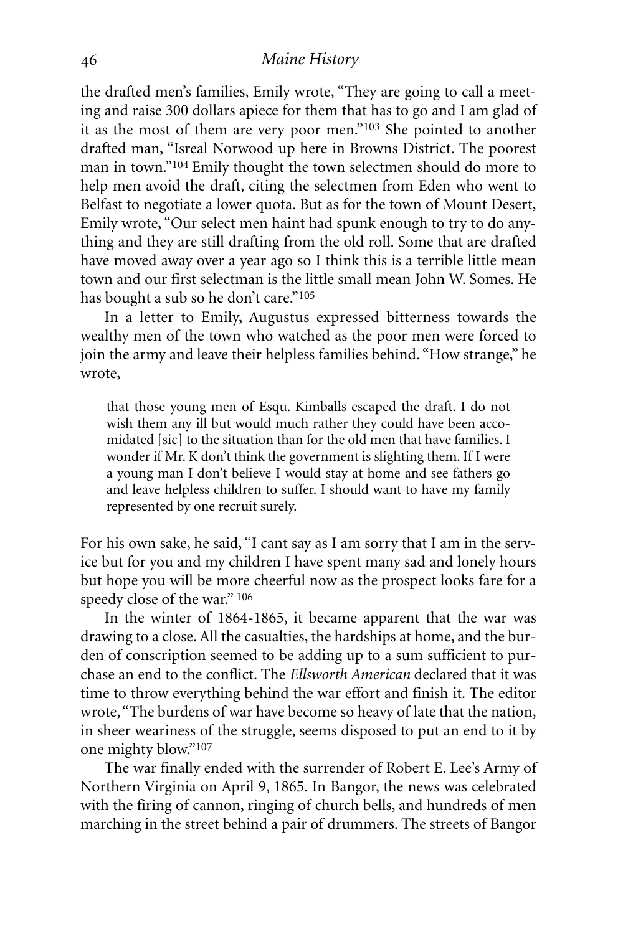the drafted men's families, Emily wrote, "They are going to call a meeting and raise 300 dollars apiece for them that has to go and I am glad of it as the most of them are very poor men."103 She pointed to another drafted man, "Isreal Norwood up here in Browns District. The poorest man in town."104 Emily thought the town selectmen should do more to help men avoid the draft, citing the selectmen from Eden who went to Belfast to negotiate a lower quota. But as for the town of Mount Desert, Emily wrote, "Our select men haint had spunk enough to try to do anything and they are still drafting from the old roll. Some that are drafted have moved away over a year ago so I think this is a terrible little mean town and our first selectman is the little small mean John W. Somes. He has bought a sub so he don't care."105

In a letter to Emily, Augustus expressed bitterness towards the wealthy men of the town who watched as the poor men were forced to join the army and leave their helpless families behind. "How strange," he wrote,

that those young men of Esqu. Kimballs escaped the draft. I do not wish them any ill but would much rather they could have been accomidated [sic] to the situation than for the old men that have families. I wonder if Mr. K don't think the government is slighting them. If I were a young man I don't believe I would stay at home and see fathers go and leave helpless children to suffer. I should want to have my family represented by one recruit surely.

For his own sake, he said, "I cant say as I am sorry that I am in the service but for you and my children I have spent many sad and lonely hours but hope you will be more cheerful now as the prospect looks fare for a speedy close of the war." 106

In the winter of 1864-1865, it became apparent that the war was drawing to a close.All the casualties, the hardships at home, and the burden of conscription seemed to be adding up to a sum sufficient to purchase an end to the conflict. The *Ellsworth American* declared that it was time to throw everything behind the war effort and finish it. The editor wrote, "The burdens of war have become so heavy of late that the nation, in sheer weariness of the struggle, seems disposed to put an end to it by one mighty blow."107

The war finally ended with the surrender of Robert E. Lee's Army of Northern Virginia on April 9, 1865. In Bangor, the news was celebrated with the firing of cannon, ringing of church bells, and hundreds of men marching in the street behind a pair of drummers. The streets of Bangor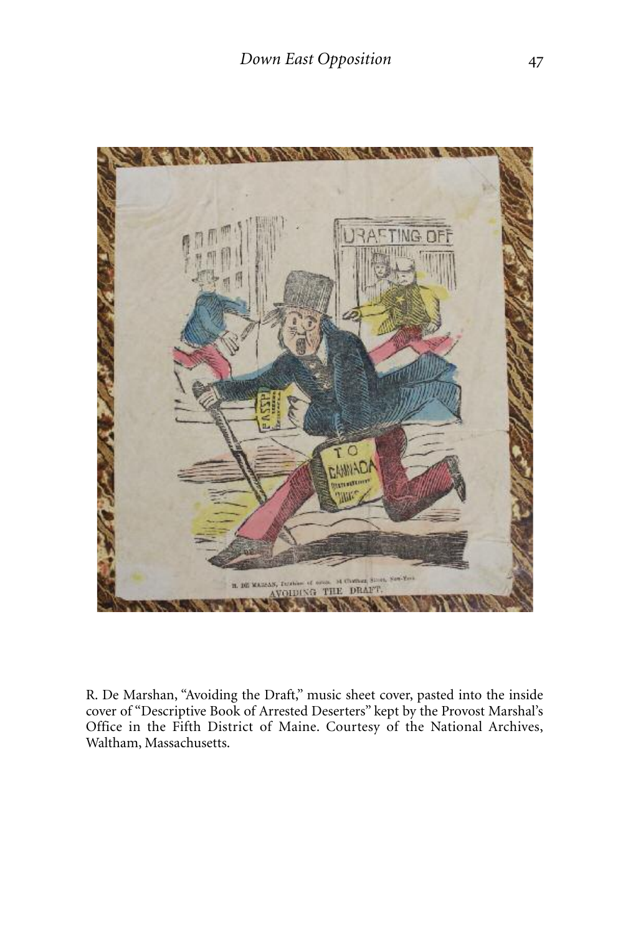

R. De Marshan, "Avoiding the Draft," music sheet cover, pasted into the inside cover of "Descriptive Book of Arrested Deserters" kept by the Provost Marshal's Office in the Fifth District of Maine. Courtesy of the National Archives, Waltham, Massachusetts.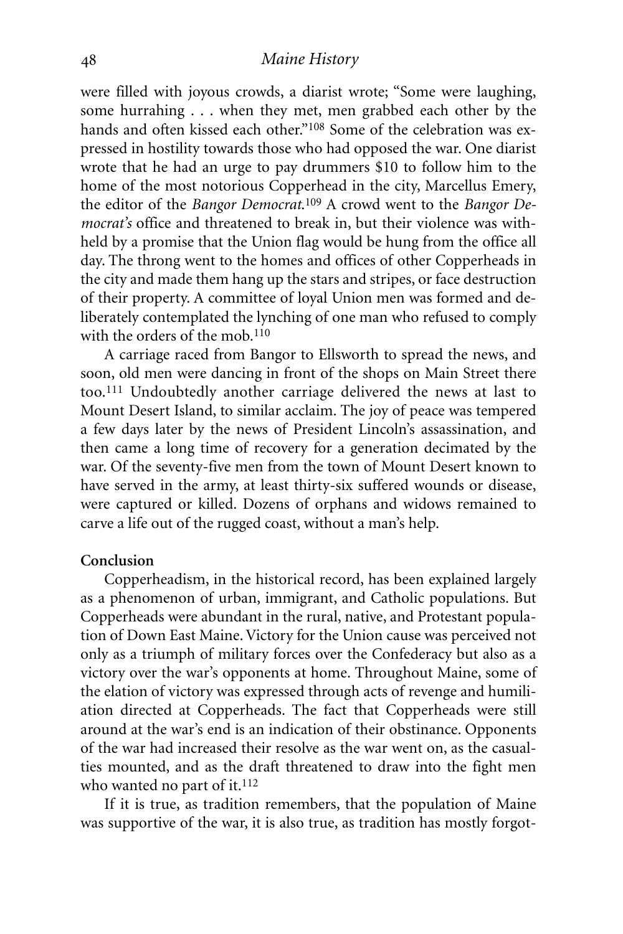were filled with joyous crowds, a diarist wrote; "Some were laughing, some hurrahing . . . when they met, men grabbed each other by the hands and often kissed each other."<sup>108</sup> Some of the celebration was expressed in hostility towards those who had opposed the war. One diarist wrote that he had an urge to pay drummers \$10 to follow him to the home of the most notorious Copperhead in the city, Marcellus Emery, the editor of the *Bangor Democrat*. 109 A crowd went to the *Bangor Democrat's* office and threatened to break in, but their violence was withheld by a promise that the Union flag would be hung from the office all day. The throng went to the homes and offices of other Copperheads in the city and made them hang up the stars and stripes, or face destruction of their property. A committee of loyal Union men was formed and deliberately contemplated the lynching of one man who refused to comply with the orders of the mob. 110

A carriage raced from Bangor to Ellsworth to spread the news, and soon, old men were dancing in front of the shops on Main Street there too.111 Undoubtedly another carriage delivered the news at last to Mount Desert Island, to similar acclaim. The joy of peace was tempered a few days later by the news of President Lincoln's assassination, and then came a long time of recovery for a generation decimated by the war. Of the seventy-five men from the town of Mount Desert known to have served in the army, at least thirty-six suffered wounds or disease, were captured or killed. Dozens of orphans and widows remained to carve a life out of the rugged coast, without a man's help.

### **Conclusion**

Copperheadism, in the historical record, has been explained largely as a phenomenon of urban, immigrant, and Catholic populations. But Copperheads were abundant in the rural, native, and Protestant population of Down East Maine.Victory for the Union cause was perceived not only as a triumph of military forces over the Confederacy but also as a victory over the war's opponents at home. Throughout Maine, some of the elation of victory was expressed through acts of revenge and humiliation directed at Copperheads. The fact that Copperheads were still around at the war's end is an indication of their obstinance. Opponents of the war had increased their resolve as the war went on, as the casualties mounted, and as the draft threatened to draw into the fight men who wanted no part of it. 112

If it is true, as tradition remembers, that the population of Maine was supportive of the war, it is also true, as tradition has mostly forgot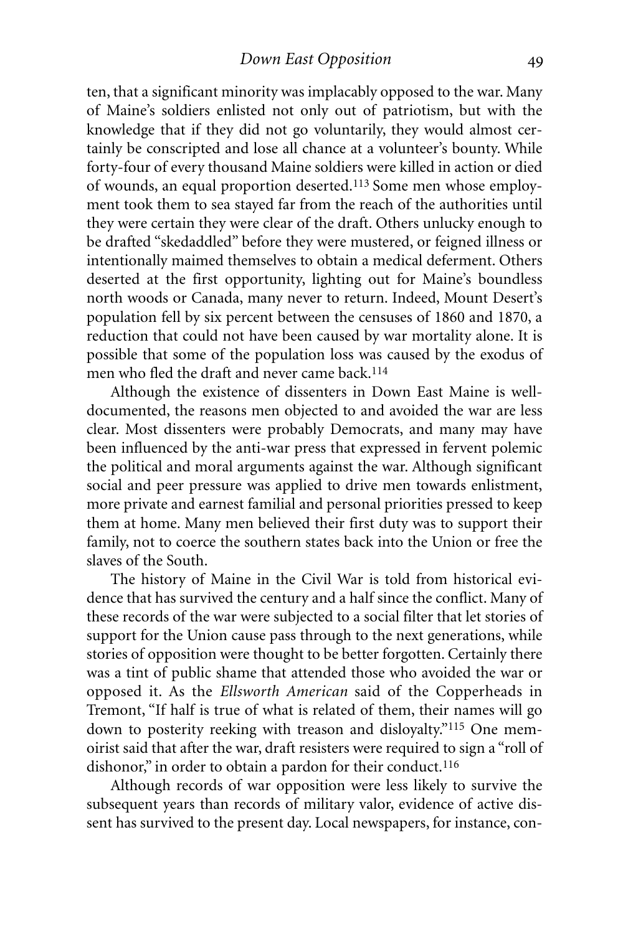ten, that a significant minority was implacably opposed to the war. Many of Maine's soldiers enlisted not only out of patriotism, but with the knowledge that if they did not go voluntarily, they would almost certainly be conscripted and lose all chance at a volunteer's bounty. While forty-four of every thousand Maine soldiers were killed in action or died of wounds, an equal proportion deserted.113 Some men whose employment took them to sea stayed far from the reach of the authorities until they were certain they were clear of the draft. Others unlucky enough to be drafted "skedaddled" before they were mustered, or feigned illness or intentionally maimed themselves to obtain a medical deferment. Others deserted at the first opportunity, lighting out for Maine's boundless north woods or Canada, many never to return. Indeed, Mount Desert's population fell by six percent between the censuses of 1860 and 1870, a reduction that could not have been caused by war mortality alone. It is possible that some of the population loss was caused by the exodus of men who fled the draft and never came back.114

Although the existence of dissenters in Down East Maine is welldocumented, the reasons men objected to and avoided the war are less clear. Most dissenters were probably Democrats, and many may have been influenced by the anti-war press that expressed in fervent polemic the political and moral arguments against the war. Although significant social and peer pressure was applied to drive men towards enlistment, more private and earnest familial and personal priorities pressed to keep them at home. Many men believed their first duty was to support their family, not to coerce the southern states back into the Union or free the slaves of the South.

The history of Maine in the Civil War is told from historical evidence that has survived the century and a half since the conflict. Many of these records of the war were subjected to a social filter that let stories of support for the Union cause pass through to the next generations, while stories of opposition were thought to be better forgotten. Certainly there was a tint of public shame that attended those who avoided the war or opposed it. As the *Ellsworth American* said of the Copperheads in Tremont, "If half is true of what is related of them, their names will go down to posterity reeking with treason and disloyalty."115 One memoirist said that after the war, draft resisters were required to sign a "roll of dishonor," in order to obtain a pardon for their conduct.<sup>116</sup>

Although records of war opposition were less likely to survive the subsequent years than records of military valor, evidence of active dissent has survived to the present day. Local newspapers, for instance, con-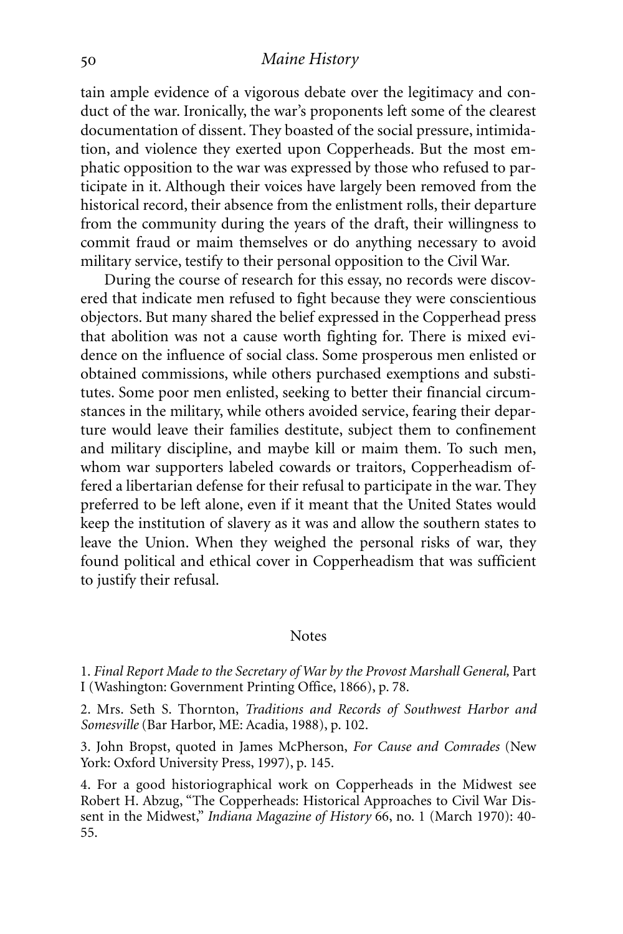tain ample evidence of a vigorous debate over the legitimacy and conduct of the war. Ironically, the war's proponents left some of the clearest documentation of dissent. They boasted of the social pressure, intimidation, and violence they exerted upon Copperheads. But the most emphatic opposition to the war was expressed by those who refused to participate in it. Although their voices have largely been removed from the historical record, their absence from the enlistment rolls, their departure from the community during the years of the draft, their willingness to commit fraud or maim themselves or do anything necessary to avoid military service, testify to their personal opposition to the Civil War.

During the course of research for this essay, no records were discovered that indicate men refused to fight because they were conscientious objectors. But many shared the belief expressed in the Copperhead press that abolition was not a cause worth fighting for. There is mixed evidence on the influence of social class. Some prosperous men enlisted or obtained commissions, while others purchased exemptions and substitutes. Some poor men enlisted, seeking to better their financial circumstances in the military, while others avoided service, fearing their departure would leave their families destitute, subject them to confinement and military discipline, and maybe kill or maim them. To such men, whom war supporters labeled cowards or traitors, Copperheadism offered a libertarian defense for their refusal to participate in the war. They preferred to be left alone, even if it meant that the United States would keep the institution of slavery as it was and allow the southern states to leave the Union. When they weighed the personal risks of war, they found political and ethical cover in Copperheadism that was sufficient to justify their refusal.

#### **Notes**

1. *Final Report Made to the Secretary of War by the Provost Marshall General,* Part I (Washington: Government Printing Office, 1866), p. 78.

2. Mrs. Seth S. Thornton, *Traditions and Records of Southwest Harbor and Somesville* (Bar Harbor, ME: Acadia, 1988), p. 102.

3. John Bropst, quoted in James McPherson, *For Cause and Comrades* (New York: Oxford University Press, 1997), p. 145.

4. For a good historiographical work on Copperheads in the Midwest see Robert H. Abzug, "The Copperheads: Historical Approaches to Civil War Dissent in the Midwest," *Indiana Magazine of History* 66, no. 1 (March 1970): 40- 55.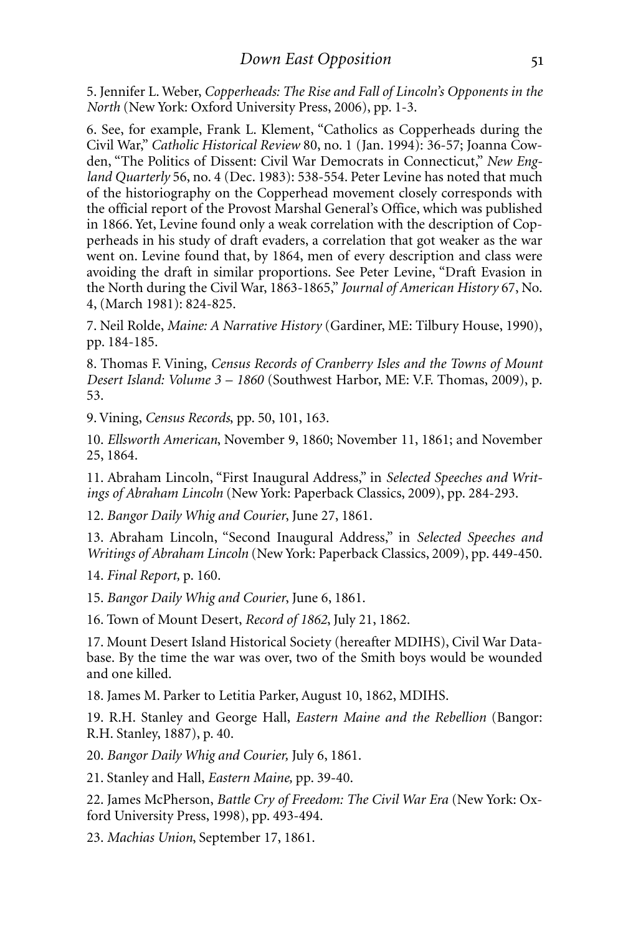5. Jennifer L. Weber, *Copperheads: The Rise and Fall of Lincoln's Opponents in the North* (New York: Oxford University Press, 2006), pp. 1-3.

6. See, for example, Frank L. Klement, "Catholics as Copperheads during the Civil War," *Catholic Historical Review* 80, no. 1 (Jan. 1994): 36-57; Joanna Cowden, "The Politics of Dissent: Civil War Democrats in Connecticut," *New England Quarterly* 56, no. 4 (Dec. 1983): 538-554. Peter Levine has noted that much of the historiography on the Copperhead movement closely corresponds with the official report of the Provost Marshal General's Office, which was published in 1866. Yet, Levine found only a weak correlation with the description of Copperheads in his study of draft evaders, a correlation that got weaker as the war went on. Levine found that, by 1864, men of every description and class were avoiding the draft in similar proportions. See Peter Levine, "Draft Evasion in the North during the Civil War, 1863-1865," *Journal of American History* 67, No. 4, (March 1981): 824-825.

7. Neil Rolde, *Maine: A Narrative History* (Gardiner, ME: Tilbury House, 1990), pp. 184-185.

8. Thomas F. Vining, *Census Records of Cranberry Isles and the Towns of Mount Desert Island: Volume 3 – 1860* (Southwest Harbor, ME: V.F. Thomas, 2009), p. 53.

9.Vining, *Census Records*, pp. 50, 101, 163.

10. *Ellsworth American*, November 9, 1860; November 11, 1861; and November 25, 1864.

11. Abraham Lincoln, "First Inaugural Address," in *Selected Speeches and Writings of Abraham Lincoln* (New York: Paperback Classics, 2009), pp. 284-293.

12. *Bangor Daily Whig and Courier*, June 27, 1861.

13. Abraham Lincoln, "Second Inaugural Address," in *Selected Speeches and Writings of Abraham Lincoln* (New York: Paperback Classics, 2009), pp. 449-450.

14. *Final Report,* p. 160.

15. *Bangor Daily Whig and Courier*, June 6, 1861.

16. Town of Mount Desert, *Record of 1862*, July 21, 1862.

17. Mount Desert Island Historical Society (hereafter MDIHS), Civil War Database. By the time the war was over, two of the Smith boys would be wounded and one killed.

18. James M. Parker to Letitia Parker, August 10, 1862, MDIHS.

19. R.H. Stanley and George Hall, *Eastern Maine and the Rebellion* (Bangor: R.H. Stanley, 1887), p. 40.

20. *Bangor Daily Whig and Courier,* July 6, 1861.

21. Stanley and Hall, *Eastern Maine,* pp. 39-40.

22. James McPherson, *Battle Cry of Freedom: The Civil War Era* (New York: Oxford University Press, 1998), pp. 493-494.

23. *Machias Union*, September 17, 1861.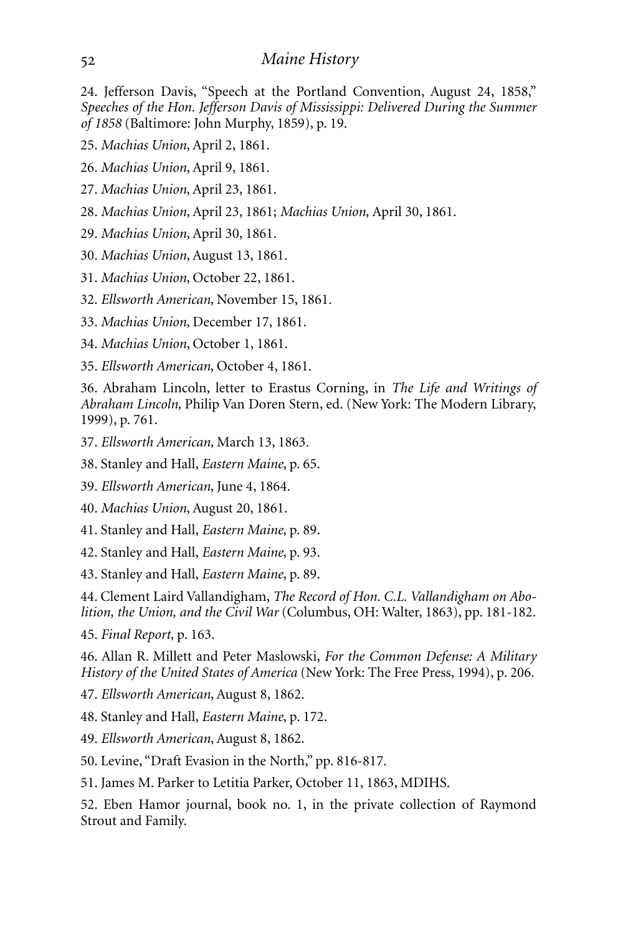24. Jefferson Davis, "Speech at the Portland Convention, August 24, 1858," *Speeches of the Hon. Jefferson Davis of Mississippi: Delivered During the Summer of 1858* (Baltimore: John Murphy, 1859), p. 19.

25. *Machias Union*, April 2, 1861.

26. *Machias Union*, April 9, 1861.

27. *Machias Union*, April 23, 1861.

28. *Machias Union*, April 23, 1861; *Machias Union,* April 30, 1861.

29. *Machias Union*, April 30, 1861.

30. *Machias Union*, August 13, 1861.

31. *Machias Union*, October 22, 1861.

32. *Ellsworth American*, November 15, 1861.

33. *Machias Union*, December 17, 1861.

34. *Machias Union*, October 1, 1861.

35. *Ellsworth American*, October 4, 1861.

36. Abraham Lincoln, letter to Erastus Corning, in *The Life and Writings of Abraham Lincoln,* Philip Van Doren Stern, ed. (New York: The Modern Library, 1999), p. 761.

37. *Ellsworth American,* March 13, 1863.

38. Stanley and Hall, *Eastern Maine*, p. 65.

39. *Ellsworth American*, June 4, 1864.

40. *Machias Union*, August 20, 1861.

41. Stanley and Hall, *Eastern Maine*, p. 89.

42. Stanley and Hall, *Eastern Maine*, p. 93.

43. Stanley and Hall, *Eastern Maine*, p. 89.

44. Clement Laird Vallandigham, *The Record of Hon. C.L. Vallandigham on Abolition, the Union, and the Civil War* (Columbus, OH: Walter, 1863), pp. 181-182.

45. *Final Report,* p. 163.

46. Allan R. Millett and Peter Maslowski, *For the Common Defense: A Military History of the United States of America* (New York: The Free Press, 1994), p. 206.

47. *Ellsworth American*, August 8, 1862.

48. Stanley and Hall, *Eastern Maine*, p. 172.

49. *Ellsworth American*, August 8, 1862.

50. Levine, "Draft Evasion in the North," pp. 816-817.

51. James M. Parker to Letitia Parker, October 11, 1863, MDIHS.

52. Eben Hamor journal, book no. 1, in the private collection of Raymond Strout and Family.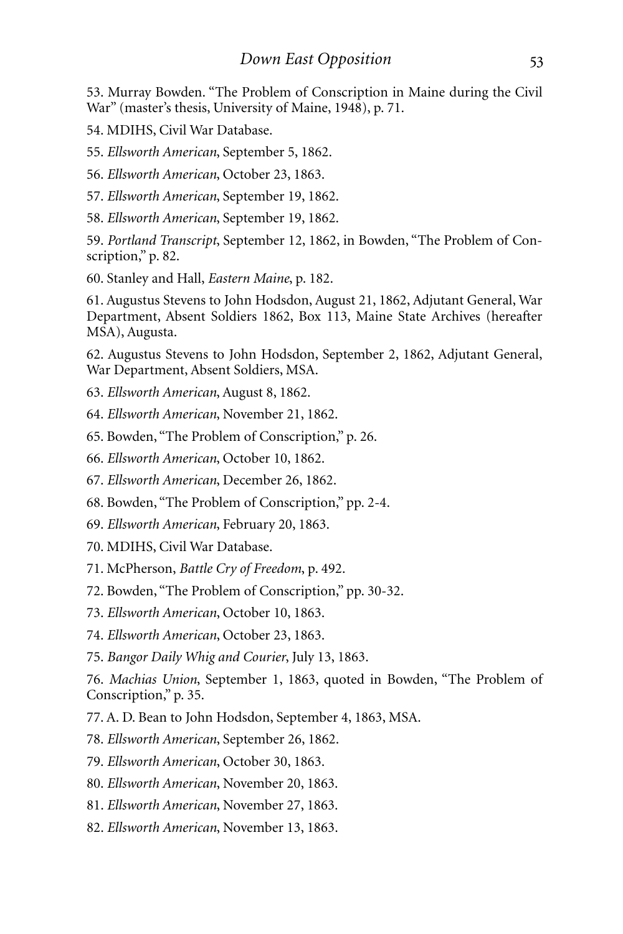53. Murray Bowden. "The Problem of Conscription in Maine during the Civil War" (master's thesis, University of Maine, 1948), p. 71.

54. MDIHS, Civil War Database.

55. *Ellsworth American*, September 5, 1862.

56. *Ellsworth American*, October 23, 1863.

57. *Ellsworth American*, September 19, 1862.

58. *Ellsworth American*, September 19, 1862.

59. *Portland Transcript*, September 12, 1862, in Bowden, "The Problem of Conscription," p. 82.

60. Stanley and Hall, *Eastern Maine*, p. 182.

61. Augustus Stevens to John Hodsdon, August 21, 1862, Adjutant General, War Department, Absent Soldiers 1862, Box 113, Maine State Archives (hereafter MSA), Augusta.

62. Augustus Stevens to John Hodsdon, September 2, 1862, Adjutant General, War Department, Absent Soldiers, MSA.

63. *Ellsworth American*, August 8, 1862.

64. *Ellsworth American*, November 21, 1862.

65. Bowden, "The Problem of Conscription," p. 26.

66. *Ellsworth American*, October 10, 1862.

67. *Ellsworth American*, December 26, 1862.

68. Bowden, "The Problem of Conscription," pp. 2-4.

69. *Ellsworth American*, February 20, 1863.

70. MDIHS, Civil War Database.

71. McPherson, *Battle Cry of Freedom*, p. 492.

72. Bowden, "The Problem of Conscription," pp. 30-32.

73. *Ellsworth American*, October 10, 1863.

74. *Ellsworth American*, October 23, 1863.

75. *Bangor Daily Whig and Courier*, July 13, 1863.

76. *Machias Union*, September 1, 1863, quoted in Bowden, "The Problem of Conscription," p. 35.

77. A. D. Bean to John Hodsdon, September 4, 1863, MSA.

78. *Ellsworth American*, September 26, 1862.

79. *Ellsworth American*, October 30, 1863.

80. *Ellsworth American*, November 20, 1863.

81. *Ellsworth American*, November 27, 1863.

82. *Ellsworth American*, November 13, 1863.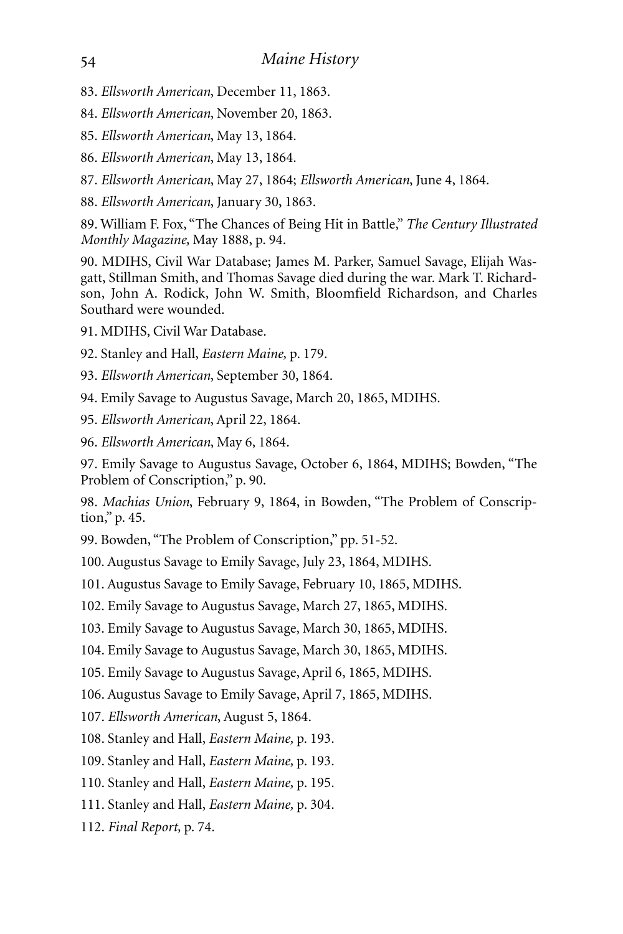- 83. *Ellsworth American*, December 11, 1863.
- 84. *Ellsworth American*, November 20, 1863.
- 85. *Ellsworth American*, May 13, 1864.
- 86. *Ellsworth American*, May 13, 1864.
- 87. *Ellsworth American*, May 27, 1864; *Ellsworth American*, June 4, 1864.
- 88. *Ellsworth American*, January 30, 1863.

89. William F. Fox, "The Chances of Being Hit in Battle," *The Century Illustrated Monthly Magazine,* May 1888, p. 94.

90. MDIHS, Civil War Database; James M. Parker, Samuel Savage, Elijah Wasgatt, Stillman Smith, and Thomas Savage died during the war. Mark T. Richardson, John A. Rodick, John W. Smith, Bloomfield Richardson, and Charles Southard were wounded.

- 91. MDIHS, Civil War Database.
- 92. Stanley and Hall, *Eastern Maine,* p. 179.
- 93. *Ellsworth American*, September 30, 1864.
- 94. Emily Savage to Augustus Savage, March 20, 1865, MDIHS.
- 95. *Ellsworth American*, April 22, 1864.
- 96. *Ellsworth American*, May 6, 1864.

97. Emily Savage to Augustus Savage, October 6, 1864, MDIHS; Bowden, "The Problem of Conscription," p. 90.

98. *Machias Union*, February 9, 1864, in Bowden, "The Problem of Conscription," p. 45.

99. Bowden, "The Problem of Conscription," pp. 51-52.

100. Augustus Savage to Emily Savage, July 23, 1864, MDIHS.

101. Augustus Savage to Emily Savage, February 10, 1865, MDIHS.

102. Emily Savage to Augustus Savage, March 27, 1865, MDIHS.

103. Emily Savage to Augustus Savage, March 30, 1865, MDIHS.

104. Emily Savage to Augustus Savage, March 30, 1865, MDIHS.

105. Emily Savage to Augustus Savage, April 6, 1865, MDIHS.

106. Augustus Savage to Emily Savage, April 7, 1865, MDIHS.

107. *Ellsworth American*, August 5, 1864.

108. Stanley and Hall, *Eastern Maine,* p. 193.

109. Stanley and Hall, *Eastern Maine,* p. 193.

110. Stanley and Hall, *Eastern Maine,* p. 195.

111. Stanley and Hall, *Eastern Maine,* p. 304.

112. *Final Report,* p. 74.